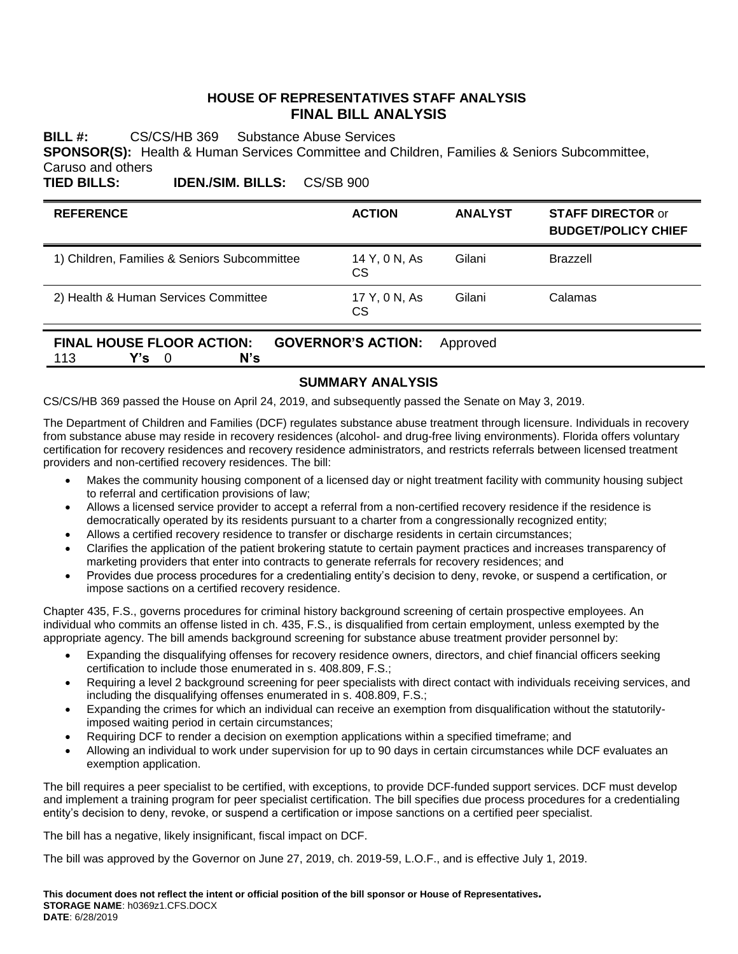# **HOUSE OF REPRESENTATIVES STAFF ANALYSIS FINAL BILL ANALYSIS**

**BILL #:** CS/CS/HB 369 Substance Abuse Services **SPONSOR(S):** Health & Human Services Committee and Children, Families & Seniors Subcommittee, Caruso and others

**TIED BILLS: IDEN./SIM. BILLS:** CS/SB 900

| <b>REFERENCE</b>                             | <b>ACTION</b>              | <b>ANALYST</b> | <b>STAFF DIRECTOR or</b><br><b>BUDGET/POLICY CHIEF</b> |
|----------------------------------------------|----------------------------|----------------|--------------------------------------------------------|
| 1) Children, Families & Seniors Subcommittee | 14 Y, 0 N, As<br>CS.       | Gilani         | Brazzell                                               |
| 2) Health & Human Services Committee         | 17 Y, 0 N, As<br><b>CS</b> | Gilani         | Calamas                                                |

**FINAL HOUSE FLOOR ACTION: GOVERNOR'S ACTION:** Approved 113 **Y's** 0 **N's**

# **SUMMARY ANALYSIS**

CS/CS/HB 369 passed the House on April 24, 2019, and subsequently passed the Senate on May 3, 2019.

The Department of Children and Families (DCF) regulates substance abuse treatment through licensure. Individuals in recovery from substance abuse may reside in recovery residences (alcohol- and drug-free living environments). Florida offers voluntary certification for recovery residences and recovery residence administrators, and restricts referrals between licensed treatment providers and non-certified recovery residences. The bill:

- Makes the community housing component of a licensed day or night treatment facility with community housing subject to referral and certification provisions of law;
- Allows a licensed service provider to accept a referral from a non-certified recovery residence if the residence is democratically operated by its residents pursuant to a charter from a congressionally recognized entity;
- Allows a certified recovery residence to transfer or discharge residents in certain circumstances;
- Clarifies the application of the patient brokering statute to certain payment practices and increases transparency of marketing providers that enter into contracts to generate referrals for recovery residences; and
- Provides due process procedures for a credentialing entity's decision to deny, revoke, or suspend a certification, or impose sactions on a certified recovery residence.

Chapter 435, F.S., governs procedures for criminal history background screening of certain prospective employees. An individual who commits an offense listed in ch. 435, F.S., is disqualified from certain employment, unless exempted by the appropriate agency. The bill amends background screening for substance abuse treatment provider personnel by:

- Expanding the disqualifying offenses for recovery residence owners, directors, and chief financial officers seeking certification to include those enumerated in s. 408.809, F.S.;
- Requiring a level 2 background screening for peer specialists with direct contact with individuals receiving services, and including the disqualifying offenses enumerated in s. 408.809, F.S.;
- Expanding the crimes for which an individual can receive an exemption from disqualification without the statutorilyimposed waiting period in certain circumstances;
- Requiring DCF to render a decision on exemption applications within a specified timeframe; and
- Allowing an individual to work under supervision for up to 90 days in certain circumstances while DCF evaluates an exemption application.

The bill requires a peer specialist to be certified, with exceptions, to provide DCF-funded support services. DCF must develop and implement a training program for peer specialist certification. The bill specifies due process procedures for a credentialing entity's decision to deny, revoke, or suspend a certification or impose sanctions on a certified peer specialist.

The bill has a negative, likely insignificant, fiscal impact on DCF.

The bill was approved by the Governor on June 27, 2019, ch. 2019-59, L.O.F., and is effective July 1, 2019.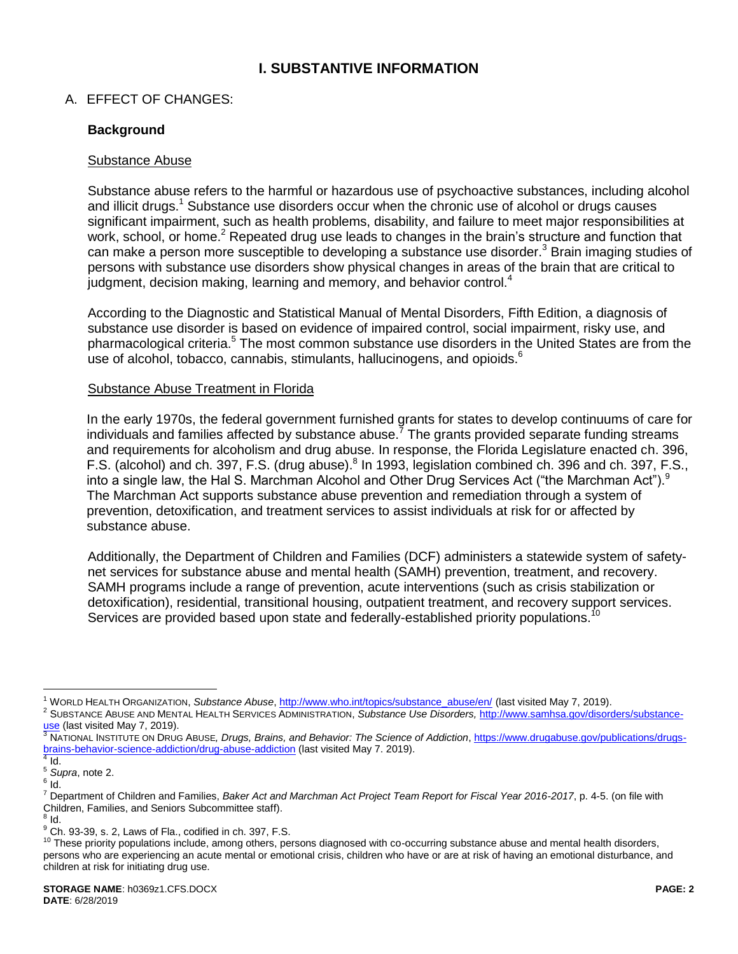# **I. SUBSTANTIVE INFORMATION**

# A. EFFECT OF CHANGES:

# **Background**

#### Substance Abuse

<span id="page-1-0"></span>Substance abuse refers to the harmful or hazardous use of psychoactive substances, including alcohol and illicit drugs.<sup>1</sup> Substance use disorders occur when the chronic use of alcohol or drugs causes significant impairment, such as health problems, disability, and failure to meet major responsibilities at work, school, or home.<sup>2</sup> Repeated drug use leads to changes in the brain's structure and function that can make a person more susceptible to developing a substance use disorder.<sup>3</sup> Brain imaging studies of persons with substance use disorders show physical changes in areas of the brain that are critical to judgment, decision making, learning and memory, and behavior control.<sup>4</sup>

According to the Diagnostic and Statistical Manual of Mental Disorders, Fifth Edition, a diagnosis of substance use disorder is based on evidence of impaired control, social impairment, risky use, and pharmacological criteria.<sup>5</sup> The most common substance use disorders in the United States are from the use of alcohol, tobacco, cannabis, stimulants, hallucinogens, and opioids.<sup>6</sup>

#### Substance Abuse Treatment in Florida

In the early 1970s, the federal government furnished grants for states to develop continuums of care for individuals and families affected by substance abuse.<sup>7</sup> The grants provided separate funding streams and requirements for alcoholism and drug abuse. In response, the Florida Legislature enacted ch. 396, F.S. (alcohol) and ch. 397, F.S. (drug abuse).<sup>8</sup> In 1993, legislation combined ch. 396 and ch. 397, F.S., into a single law, the Hal S. Marchman Alcohol and Other Drug Services Act ("the Marchman Act").<sup>9</sup> The Marchman Act supports substance abuse prevention and remediation through a system of prevention, detoxification, and treatment services to assist individuals at risk for or affected by substance abuse.

Additionally, the Department of Children and Families (DCF) administers a statewide system of safetynet services for substance abuse and mental health (SAMH) prevention, treatment, and recovery. SAMH programs include a range of prevention, acute interventions (such as crisis stabilization or detoxification), residential, transitional housing, outpatient treatment, and recovery support services. Services are provided based upon state and federally-established priority populations.<sup>10</sup>

<sup>1</sup> WORLD HEALTH ORGANIZATION, *Substance Abuse*, [http://www.who.int/topics/substance\\_abuse/en/](http://www.who.int/topics/substance_abuse/en/) (last visited May 7, 2019).

<sup>2</sup> SUBSTANCE ABUSE AND MENTAL HEALTH SERVICES ADMINISTRATION, *Substance Use Disorders,* [http://www.samhsa.gov/disorders/substance](http://www.samhsa.gov/disorders/substance-use)[use](http://www.samhsa.gov/disorders/substance-use) (last visited May 7, 2019).

<sup>3</sup> NATIONAL INSTITUTE ON DRUG ABUSE, *Drugs, Brains, and Behavior: The Science of Addiction*[, https://www.drugabuse.gov/publications/drugs](https://www.drugabuse.gov/publications/drugs-brains-behavior-science-addiction/drug-abuse-addiction)[brains-behavior-science-addiction/drug-abuse-addiction](https://www.drugabuse.gov/publications/drugs-brains-behavior-science-addiction/drug-abuse-addiction) (last visited May 7. 2019).

 $4$  Id. <sup>5</sup> *Supra*, not[e 2.](#page-1-0)

 $^6$  Id.

<sup>7</sup> Department of Children and Families, *Baker Act and Marchman Act Project Team Report for Fiscal Year 2016-2017*, p. 4-5. (on file with Children, Families, and Seniors Subcommittee staff).<br><sup>8</sup> Id.

<sup>&</sup>lt;sup>9</sup> Ch. 93-39, s. 2, Laws of Fla., codified in ch. 397, F.S.

<sup>&</sup>lt;sup>10</sup> These priority populations include, among others, persons diagnosed with co-occurring substance abuse and mental health disorders, persons who are experiencing an acute mental or emotional crisis, children who have or are at risk of having an emotional disturbance, and children at risk for initiating drug use.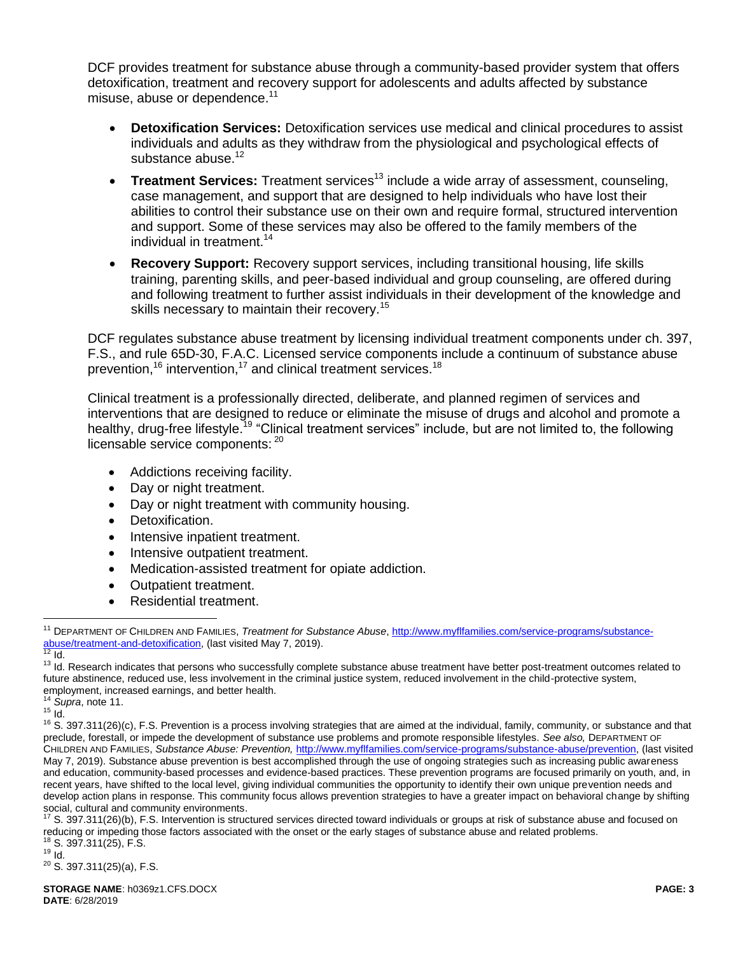DCF provides treatment for substance abuse through a community-based provider system that offers detoxification, treatment and recovery support for adolescents and adults affected by substance misuse, abuse or dependence.<sup>11</sup>

- <span id="page-2-0"></span> **Detoxification Services:** Detoxification services use medical and clinical procedures to assist individuals and adults as they withdraw from the physiological and psychological effects of substance abuse.<sup>12</sup>
- **Treatment Services:** Treatment services<sup>13</sup> include a wide array of assessment, counseling, case management, and support that are designed to help individuals who have lost their abilities to control their substance use on their own and require formal, structured intervention and support. Some of these services may also be offered to the family members of the individual in treatment.<sup>14</sup>
- **Recovery Support:** Recovery support services, including transitional housing, life skills training, parenting skills, and peer-based individual and group counseling, are offered during and following treatment to further assist individuals in their development of the knowledge and skills necessary to maintain their recovery.<sup>15</sup>

DCF regulates substance abuse treatment by licensing individual treatment components under ch. 397, F.S., and rule 65D-30, F.A.C. Licensed service components include a continuum of substance abuse prevention,<sup>16</sup> intervention,<sup>17</sup> and clinical treatment services.<sup>18</sup>

Clinical treatment is a professionally directed, deliberate, and planned regimen of services and interventions that are designed to reduce or eliminate the misuse of drugs and alcohol and promote a healthy, drug-free lifestyle.<sup>19</sup> "Clinical treatment services" include, but are not limited to, the following licensable service components: 20

- Addictions receiving facility.
- Day or night treatment.
- Day or night treatment with community housing.
- Detoxification.
- Intensive inpatient treatment.
- Intensive outpatient treatment.
- Medication-assisted treatment for opiate addiction.
- Outpatient treatment.
- Residential treatment.

 $\overline{a}$ 

<sup>17</sup> S. 397.311(26)(b), F.S. Intervention is structured services directed toward individuals or groups at risk of substance abuse and focused on reducing or impeding those factors associated with the onset or the early stages of substance abuse and related problems. <sup>18</sup> S. 397.311(25), F.S.

 $19$  Id.

<sup>20</sup> S. 397.311(25)(a), F.S.

<sup>11</sup> DEPARTMENT OF CHILDREN AND FAMILIES, *Treatment for Substance Abuse*[, http://www.myflfamilies.com/service-programs/substance](http://www.myflfamilies.com/service-programs/substance-abuse/treatment-and-detoxification)[abuse/treatment-and-detoxification,](http://www.myflfamilies.com/service-programs/substance-abuse/treatment-and-detoxification) (last visited May 7, 2019).  $12$  Id.

<sup>&</sup>lt;sup>13</sup> Id. Research indicates that persons who successfully complete substance abuse treatment have better post-treatment outcomes related to future abstinence, reduced use, less involvement in the criminal justice system, reduced involvement in the child-protective system, employment, increased earnings, and better health.

<sup>14</sup> *Supra*, note [11.](#page-2-0)

 $15$  Id.

 $16$  S. 397.311(26)(c), F.S. Prevention is a process involving strategies that are aimed at the individual, family, community, or substance and that preclude, forestall, or impede the development of substance use problems and promote responsible lifestyles. *See also,* DEPARTMENT OF CHILDREN AND FAMILIES, *Substance Abuse: Prevention,* [http://www.myflfamilies.com/service-programs/substance-abuse/prevention,](http://www.myflfamilies.com/service-programs/substance-abuse/prevention) (last visited May 7, 2019). Substance abuse prevention is best accomplished through the use of ongoing strategies such as increasing public awareness and education, community-based processes and evidence-based practices. These prevention programs are focused primarily on youth, and, in recent years, have shifted to the local level, giving individual communities the opportunity to identify their own unique prevention needs and develop action plans in response. This community focus allows prevention strategies to have a greater impact on behavioral change by shifting social, cultural and community environments.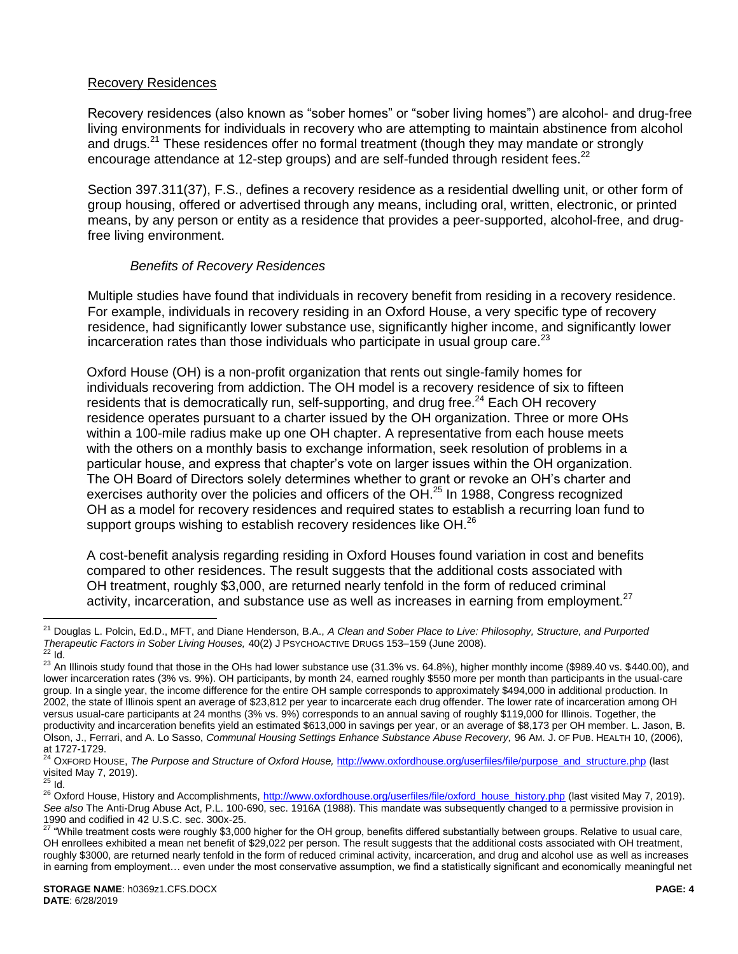# Recovery Residences

Recovery residences (also known as "sober homes" or "sober living homes") are alcohol- and drug-free living environments for individuals in recovery who are attempting to maintain abstinence from alcohol and drugs.<sup>21</sup> These residences offer no formal treatment (though they may mandate or strongly encourage attendance at 12-step groups) and are self-funded through resident fees.<sup>22</sup>

Section 397.311(37), F.S., defines a recovery residence as a residential dwelling unit, or other form of group housing, offered or advertised through any means, including oral, written, electronic, or printed means, by any person or entity as a residence that provides a peer-supported, alcohol-free, and drugfree living environment.

### *Benefits of Recovery Residences*

Multiple studies have found that individuals in recovery benefit from residing in a recovery residence. For example, individuals in recovery residing in an Oxford House, a very specific type of recovery residence, had significantly lower substance use, significantly higher income, and significantly lower incarceration rates than those individuals who participate in usual group care. $^{23}$ 

Oxford House (OH) is a non-profit organization that rents out single-family homes for individuals recovering from addiction. The OH model is a recovery residence of six to fifteen residents that is democratically run, self-supporting, and drug free.<sup>24</sup> Each OH recovery residence operates pursuant to a charter issued by the OH organization. Three or more OHs within a 100-mile radius make up one OH chapter. A representative from each house meets with the others on a monthly basis to exchange information, seek resolution of problems in a particular house, and express that chapter's vote on larger issues within the OH organization. The OH Board of Directors solely determines whether to grant or revoke an OH's charter and exercises authority over the policies and officers of the OH.<sup>25</sup> In 1988, Congress recognized OH as a model for recovery residences and required states to establish a recurring loan fund to support groups wishing to establish recovery residences like OH. $^{26}$ 

A cost-benefit analysis regarding residing in Oxford Houses found variation in cost and benefits compared to other residences. The result suggests that the additional costs associated with OH treatment, roughly \$3,000, are returned nearly tenfold in the form of reduced criminal activity, incarceration, and substance use as well as increases in earning from employment.<sup>27</sup>

<sup>21</sup> Douglas L. Polcin, Ed.D., MFT, and Diane Henderson, B.A., *A Clean and Sober Place to Live: Philosophy, Structure, and Purported Therapeutic Factors in Sober Living Houses,* 40(2) J PSYCHOACTIVE DRUGS 153–159 (June 2008).  $22$  Id.

<sup>&</sup>lt;sup>23</sup> An Illinois study found that those in the OHs had lower substance use (31.3% vs. 64.8%), higher monthly income (\$989.40 vs. \$440.00), and lower incarceration rates (3% vs. 9%). OH participants, by month 24, earned roughly \$550 more per month than participants in the usual-care group. In a single year, the income difference for the entire OH sample corresponds to approximately \$494,000 in additional production. In 2002, the state of Illinois spent an average of \$23,812 per year to incarcerate each drug offender. The lower rate of incarceration among OH versus usual-care participants at 24 months (3% vs. 9%) corresponds to an annual saving of roughly \$119,000 for Illinois. Together, the productivity and incarceration benefits yield an estimated \$613,000 in savings per year, or an average of \$8,173 per OH member. L. Jason, B. Olson, J., Ferrari, and A. Lo Sasso, *Communal Housing Settings Enhance Substance Abuse Recovery,* 96 AM. J. OF PUB. HEALTH 10, (2006), at 1727-1729.

<sup>&</sup>lt;sup>24</sup> OXFORD HOUSE, *The Purpose and Structure of Oxford House*, [http://www.oxfordhouse.org/userfiles/file/purpose\\_and\\_structure.php](http://www.oxfordhouse.org/userfiles/file/purpose_and_structure.php) (last visited May 7, 2019).

 $^{25}$  Id.

<sup>&</sup>lt;sup>26</sup> Oxford House, History and Accomplishments, [http://www.oxfordhouse.org/userfiles/file/oxford\\_house\\_history.php](http://www.oxfordhouse.org/userfiles/file/oxford_house_history.php) (last visited May 7, 2019). *See also* The Anti-Drug Abuse Act, P.L. 100-690, sec. 1916A (1988). This mandate was subsequently changed to a permissive provision in 1990 and codified in 42 U.S.C. sec. 300x-25.

 $^{27}$  "While treatment costs were roughly \$3,000 higher for the OH group, benefits differed substantially between groups. Relative to usual care, OH enrollees exhibited a mean net benefit of \$29,022 per person. The result suggests that the additional costs associated with OH treatment, roughly \$3000, are returned nearly tenfold in the form of reduced criminal activity, incarceration, and drug and alcohol use as well as increases in earning from employment… even under the most conservative assumption, we find a statistically significant and economically meaningful net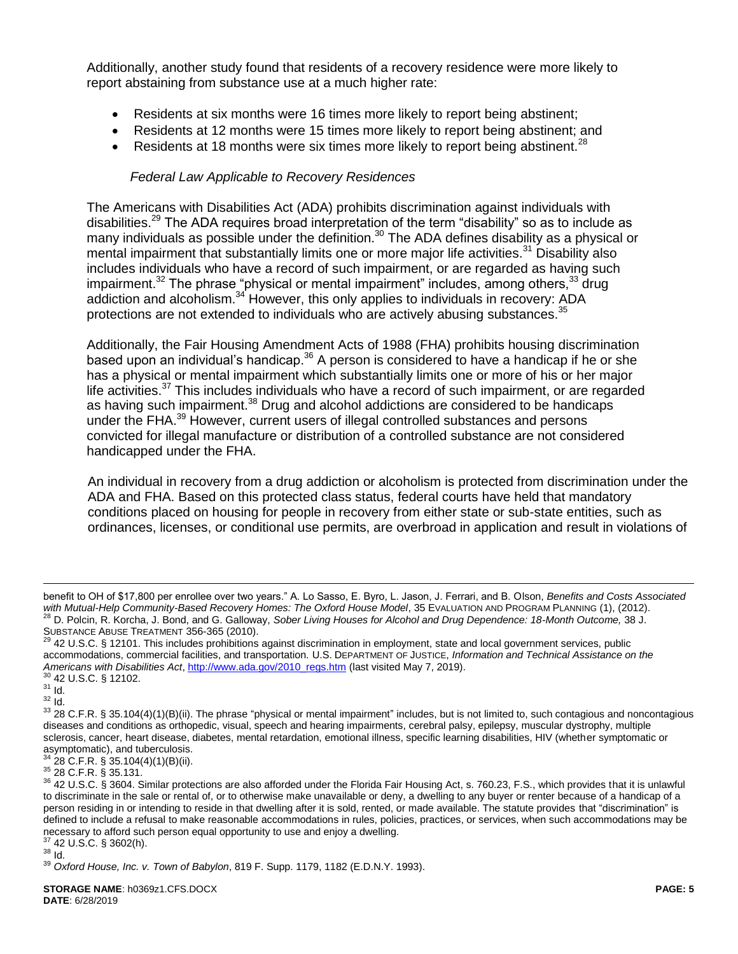Additionally, another study found that residents of a recovery residence were more likely to report abstaining from substance use at a much higher rate:

- Residents at six months were 16 times more likely to report being abstinent;
- Residents at 12 months were 15 times more likely to report being abstinent; and
- Residents at 18 months were six times more likely to report being abstinent.<sup>28</sup>

# *Federal Law Applicable to Recovery Residences*

The Americans with Disabilities Act (ADA) prohibits discrimination against individuals with disabilities.<sup>29</sup> The ADA requires broad interpretation of the term "disability" so as to include as many individuals as possible under the definition.<sup>30</sup> The ADA defines disability as a physical or mental impairment that substantially limits one or more major life activities.<sup>31</sup> Disability also includes individuals who have a record of such impairment, or are regarded as having such impairment.<sup>32</sup> The phrase "physical or mental impairment" includes, among others,  $33$  drug addiction and alcoholism.<sup>34</sup> However, this only applies to individuals in recovery: ADA protections are not extended to individuals who are actively abusing substances.<sup>35</sup>

Additionally, the Fair Housing Amendment Acts of 1988 (FHA) prohibits housing discrimination based upon an individual's handicap. $36$  A person is considered to have a handicap if he or she has a physical or mental impairment which substantially limits one or more of his or her major life activities. $37$  This includes individuals who have a record of such impairment, or are regarded as having such impairment.<sup>38</sup> Drug and alcohol addictions are considered to be handicaps under the FHA.<sup>39</sup> However, current users of illegal controlled substances and persons convicted for illegal manufacture or distribution of a controlled substance are not considered handicapped under the FHA.

An individual in recovery from a drug addiction or alcoholism is protected from discrimination under the ADA and FHA. Based on this protected class status, federal courts have held that mandatory conditions placed on housing for people in recovery from either state or sub-state entities, such as ordinances, licenses, or conditional use permits, are overbroad in application and result in violations of

<sup>31</sup> Id.

<sup>32</sup> Id.

 $\overline{a}$ 

 $34$  28 C.F.R. § 35.104(4)(1)(B)(ii).

<sup>35</sup> 28 C.F.R. § 35.131.

benefit to OH of \$17,800 per enrollee over two years." A. Lo Sasso, E. Byro, L. Jason, J. Ferrari, and B. Olson, *Benefits and Costs Associated*  with Mutual-Help Community-Based Recovery Homes: The Oxford House Model, 35 EVALUATION AND PROGRAM PLANNING (1), (2012). <sup>28</sup> D. Polcin, R. Korcha, J. Bond, and G. Galloway, *Sober Living Houses for Alcohol and Drug Dependence: 18-Month Outcome,* 38 J. SUBSTANCE ABUSE TREATMENT 356-365 (2010).

 $^{29}$  42 U.S.C. § 12101. This includes prohibitions against discrimination in employment, state and local government services, public accommodations, commercial facilities, and transportation. U.S. DEPARTMENT OF JUSTICE, *Information and Technical Assistance on the Americans with Disabilities Act*, [http://www.ada.gov/2010\\_regs.htm](http://www.ada.gov/2010_regs.htm) (last visited May 7, 2019). <sup>30</sup> 42 U.S.C. § 12102.

<sup>33 28</sup> C.F.R. § 35.104(4)(1)(B)(ii). The phrase "physical or mental impairment" includes, but is not limited to, such contagious and noncontagious diseases and conditions as orthopedic, visual, speech and hearing impairments, cerebral palsy, epilepsy, muscular dystrophy, multiple sclerosis, cancer, heart disease, diabetes, mental retardation, emotional illness, specific learning disabilities, HIV (whether symptomatic or asymptomatic), and tuberculosis.

<sup>&</sup>lt;sup>36</sup> 42 U.S.C. § 3604. Similar protections are also afforded under the Florida Fair Housing Act, s. 760.23, F.S., which provides that it is unlawful to discriminate in the sale or rental of, or to otherwise make unavailable or deny, a dwelling to any buyer or renter because of a handicap of a person residing in or intending to reside in that dwelling after it is sold, rented, or made available. The statute provides that "discrimination" is defined to include a refusal to make reasonable accommodations in rules, policies, practices, or services, when such accommodations may be necessary to afford such person equal opportunity to use and enjoy a dwelling.

<sup>37</sup> 42 U.S.C. § 3602(h). <sup>38</sup> Id.

<sup>39</sup> *Oxford House, Inc. v. Town of Babylon*, 819 F. Supp. 1179, 1182 (E.D.N.Y. 1993).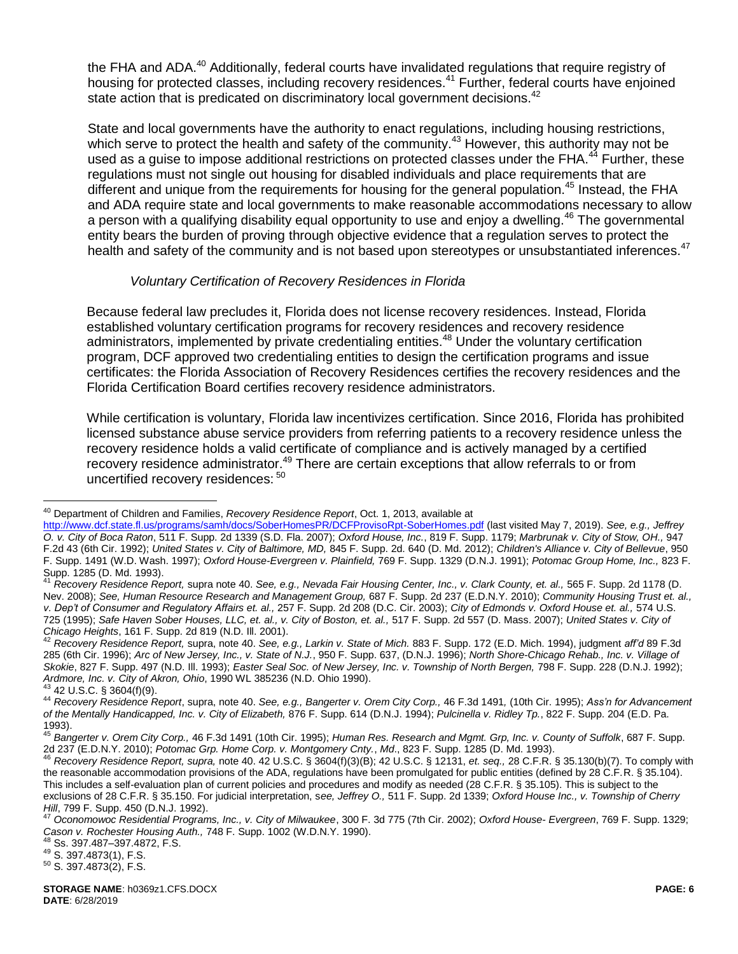<span id="page-5-0"></span>the FHA and ADA.<sup>40</sup> Additionally, federal courts have invalidated regulations that require registry of housing for protected classes, including recovery residences.<sup>41</sup> Further, federal courts have enjoined state action that is predicated on discriminatory local government decisions.<sup>42</sup>

State and local governments have the authority to enact regulations, including housing restrictions, which serve to protect the health and safety of the community.<sup>43</sup> However, this authority may not be used as a guise to impose additional restrictions on protected classes under the FHA.<sup>44</sup> Further, these regulations must not single out housing for disabled individuals and place requirements that are different and unique from the requirements for housing for the general population.<sup>45</sup> Instead, the FHA and ADA require state and local governments to make reasonable accommodations necessary to allow a person with a qualifying disability equal opportunity to use and enjoy a dwelling.<sup>46</sup> The governmental entity bears the burden of proving through objective evidence that a regulation serves to protect the health and safety of the community and is not based upon stereotypes or unsubstantiated inferences.<sup>47</sup>

### *Voluntary Certification of Recovery Residences in Florida*

Because federal law precludes it, Florida does not license recovery residences. Instead, Florida established voluntary certification programs for recovery residences and recovery residence administrators, implemented by private credentialing entities.<sup>48</sup> Under the voluntary certification program, DCF approved two credentialing entities to design the certification programs and issue certificates: the Florida Association of Recovery Residences certifies the recovery residences and the Florida Certification Board certifies recovery residence administrators.

While certification is voluntary, Florida law incentivizes certification. Since 2016, Florida has prohibited licensed substance abuse service providers from referring patients to a recovery residence unless the recovery residence holds a valid certificate of compliance and is actively managed by a certified recovery residence administrator.<sup>49</sup> There are certain exceptions that allow referrals to or from uncertified recovery residences: <sup>50</sup>

 $\overline{a}$ 

<sup>8</sup> Ss. 397.487–397.4872, F.S.

<sup>49</sup> S. 397.4873(1), F.S.

<sup>50</sup> S. 397.4873(2), F.S.

<sup>40</sup> Department of Children and Families, *Recovery Residence Report*, Oct. 1, 2013, available at

<http://www.dcf.state.fl.us/programs/samh/docs/SoberHomesPR/DCFProvisoRpt-SoberHomes.pdf> (last visited May 7, 2019). *See, e.g., Jeffrey O. v. City of Boca Raton*, 511 F. Supp. 2d 1339 (S.D. Fla. 2007); *Oxford House, Inc.*, 819 F. Supp. 1179; *Marbrunak v. City of Stow, OH.,* 947 F.2d 43 (6th Cir. 1992); *United States v. City of Baltimore, MD,* 845 F. Supp. 2d. 640 (D. Md. 2012); *Children's Alliance v. City of Bellevue*, 950 F. Supp. 1491 (W.D. Wash. 1997); *Oxford House-Evergreen v. Plainfield,* 769 F. Supp. 1329 (D.N.J. 1991); *Potomac Group Home, Inc.,* 823 F. Supp. 1285 (D. Md. 1993).

<sup>41</sup> *Recovery Residence Report,* supra note [40.](#page-5-0) *See, e.g., Nevada Fair Housing Center, Inc., v. Clark County, et. al.,* 565 F. Supp. 2d 1178 (D. Nev. 2008); *See, Human Resource Research and Management Group,* 687 F. Supp. 2d 237 (E.D.N.Y. 2010); *Community Housing Trust et. al., v. Dep't of Consumer and Regulatory Affairs et. al.,* 257 F. Supp. 2d 208 (D.C. Cir. 2003); *City of Edmonds v. Oxford House et. al.,* 574 U.S. 725 (1995); *Safe Haven Sober Houses, LLC, et. al., v. City of Boston, et. al.,* 517 F. Supp. 2d 557 (D. Mass. 2007); *United States v. City of Chicago Heights*, 161 F. Supp. 2d 819 (N.D. Ill. 2001).

<sup>42</sup> *Recovery Residence Report,* supra, not[e 40.](#page-5-0) *See, e.g., Larkin v. State of Mich.* 883 F. Supp. 172 (E.D. Mich. 1994), judgment *aff'd* 89 F.3d 285 (6th Cir. 1996); *Arc of New Jersey, Inc., v. State of N.J.*, 950 F. Supp. 637, (D.N.J. 1996); *North Shore-Chicago Rehab., Inc. v. Village of Skokie*, 827 F. Supp. 497 (N.D. Ill. 1993); *Easter Seal Soc. of New Jersey, Inc. v. Township of North Bergen,* 798 F. Supp. 228 (D.N.J. 1992); *Ardmore, Inc. v. City of Akron, Ohio*, 1990 WL 385236 (N.D. Ohio 1990).

 $43$  42 U.S.C. § 3604(f)(9).

<sup>44</sup> *Recovery Residence Report*, supra, not[e 40.](#page-5-0) *See, e.g., Bangerter v. Orem City Corp.,* 46 F.3d 1491*,* (10th Cir. 1995); *Ass'n for Advancement of the Mentally Handicapped, Inc. v. City of Elizabeth,* 876 F. Supp. 614 (D.N.J. 1994); *Pulcinella v. Ridley Tp.*, 822 F. Supp. 204 (E.D. Pa. 1993).

<sup>45</sup> *Bangerter v. Orem City Corp.,* 46 F.3d 1491 (10th Cir. 1995); *Human Res. Research and Mgmt. Grp, Inc. v. County of Suffolk*, 687 F. Supp. 2d 237 (E.D.N.Y. 2010); *Potomac Grp. Home Corp. v. Montgomery Cnty.*, *Md*., 823 F. Supp. 1285 (D. Md. 1993).

<sup>46</sup> *Recovery Residence Report, supra,* not[e 40.](#page-5-0) 42 U.S.C. § 3604(f)(3)(B); 42 U.S.C. § 12131, *et. seq.,* 28 C.F.R. § 35.130(b)(7). To comply with the reasonable accommodation provisions of the ADA, regulations have been promulgated for public entities (defined by 28 C.F.R. § 35.104). This includes a self-evaluation plan of current policies and procedures and modify as needed (28 C.F.R. § 35.105). This is subject to the exclusions of 28 C.F.R. § 35.150. For judicial interpretation, s*ee, Jeffrey O.,* 511 F. Supp. 2d 1339; *Oxford House Inc., v. Township of Cherry Hill*, 799 F. Supp. 450 (D.N.J. 1992).

<sup>47</sup> *Oconomowoc Residential Programs, Inc., v. City of Milwaukee*, 300 F. 3d 775 (7th Cir. 2002); *Oxford House- Evergreen*, 769 F. Supp. 1329; *Cason v. Rochester Housing Auth.,* 748 F. Supp. 1002 (W.D.N.Y. 1990).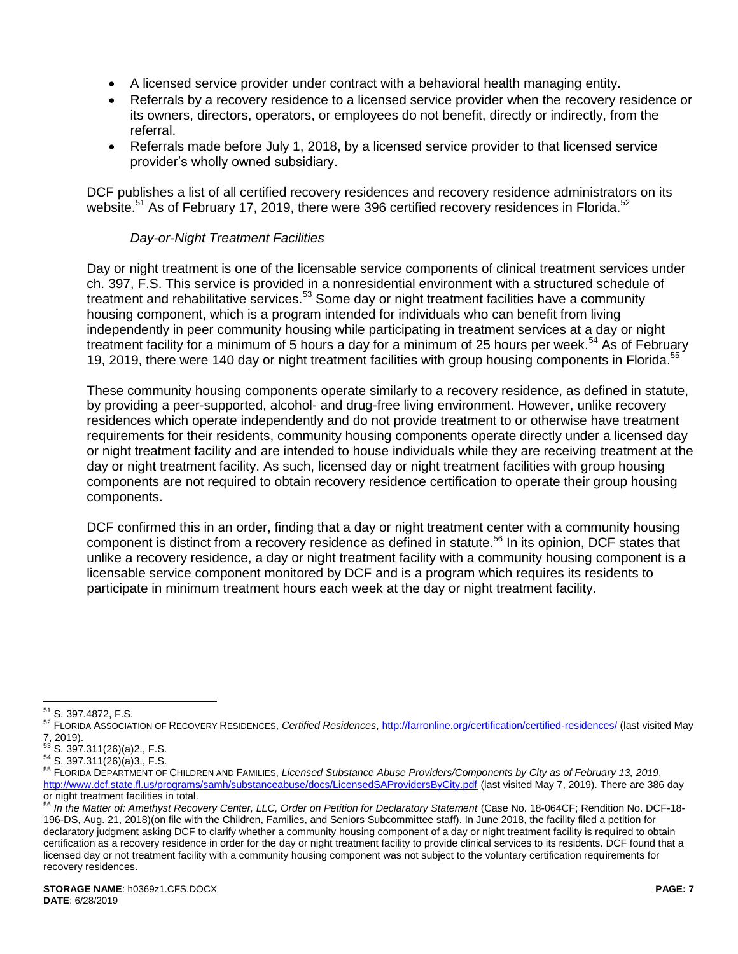- A licensed service provider under contract with a behavioral health managing entity.
- Referrals by a recovery residence to a licensed service provider when the recovery residence or its owners, directors, operators, or employees do not benefit, directly or indirectly, from the referral.
- Referrals made before July 1, 2018, by a licensed service provider to that licensed service provider's wholly owned subsidiary.

DCF publishes a list of all certified recovery residences and recovery residence administrators on its website.<sup>51</sup> As of February 17, 2019, there were 396 certified recovery residences in Florida.<sup>52</sup>

# *Day-or-Night Treatment Facilities*

Day or night treatment is one of the licensable service components of clinical treatment services under ch. 397, F.S. This service is provided in a nonresidential environment with a structured schedule of treatment and rehabilitative services.<sup>53</sup> Some day or night treatment facilities have a community housing component, which is a program intended for individuals who can benefit from living independently in peer community housing while participating in treatment services at a day or night treatment facility for a minimum of 5 hours a day for a minimum of 25 hours per week.<sup>54</sup> As of February 19, 2019, there were 140 day or night treatment facilities with group housing components in Florida.<sup>55</sup>

These community housing components operate similarly to a recovery residence, as defined in statute, by providing a peer-supported, alcohol- and drug-free living environment. However, unlike recovery residences which operate independently and do not provide treatment to or otherwise have treatment requirements for their residents, community housing components operate directly under a licensed day or night treatment facility and are intended to house individuals while they are receiving treatment at the day or night treatment facility. As such, licensed day or night treatment facilities with group housing components are not required to obtain recovery residence certification to operate their group housing components.

DCF confirmed this in an order, finding that a day or night treatment center with a community housing component is distinct from a recovery residence as defined in statute.<sup>56</sup> In its opinion, DCF states that unlike a recovery residence, a day or night treatment facility with a community housing component is a licensable service component monitored by DCF and is a program which requires its residents to participate in minimum treatment hours each week at the day or night treatment facility.

 $\overline{a}$ <sup>51</sup> S. 397.4872, F.S.

<sup>52</sup> FLORIDA ASSOCIATION OF RECOVERY RESIDENCES, *Certified Residences*,<http://farronline.org/certification/certified-residences/> (last visited May 7, 2019).

 $5^3$  S. 397.311(26)(a)2., F.S.

<sup>54</sup> S. 397.311(26)(a)3., F.S.

<sup>55</sup> FLORIDA DEPARTMENT OF CHILDREN AND FAMILIES, *Licensed Substance Abuse Providers/Components by City as of February 13, 2019*, <http://www.dcf.state.fl.us/programs/samh/substanceabuse/docs/LicensedSAProvidersByCity.pdf> (last visited May 7, 2019). There are 386 day or night treatment facilities in total.

<sup>56</sup> *In the Matter of: Amethyst Recovery Center, LLC, Order on Petition for Declaratory Statement* (Case No. 18-064CF; Rendition No. DCF-18- 196-DS, Aug. 21, 2018)(on file with the Children, Families, and Seniors Subcommittee staff). In June 2018, the facility filed a petition for declaratory judgment asking DCF to clarify whether a community housing component of a day or night treatment facility is required to obtain certification as a recovery residence in order for the day or night treatment facility to provide clinical services to its residents. DCF found that a licensed day or not treatment facility with a community housing component was not subject to the voluntary certification requirements for recovery residences.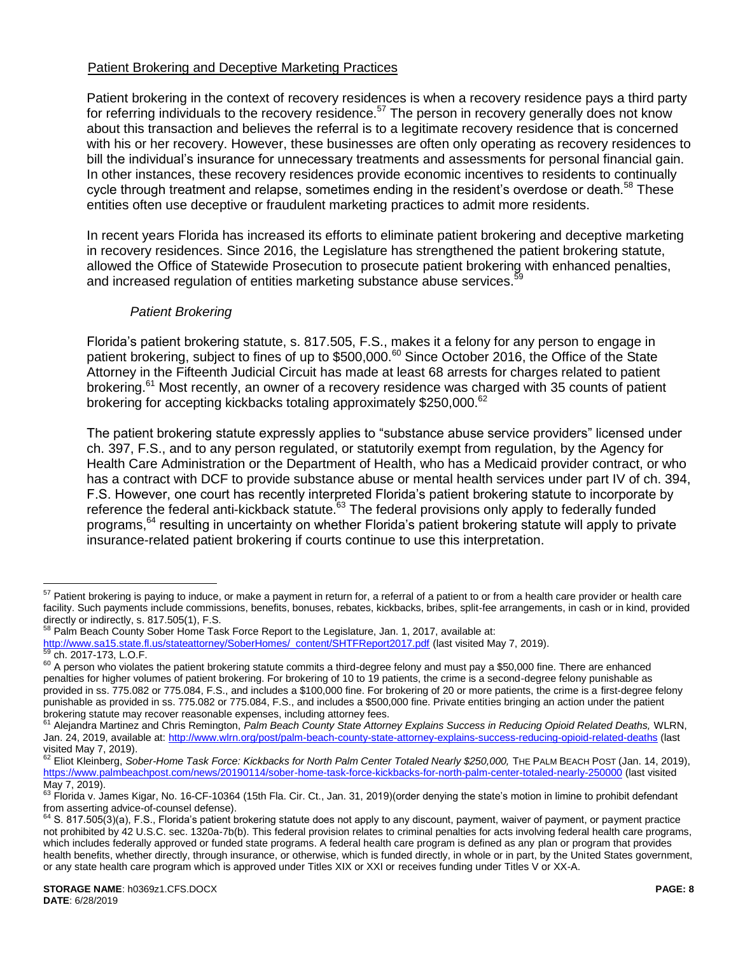### Patient Brokering and Deceptive Marketing Practices

Patient brokering in the context of recovery residences is when a recovery residence pays a third party for referring individuals to the recovery residence.<sup>57</sup> The person in recovery generally does not know about this transaction and believes the referral is to a legitimate recovery residence that is concerned with his or her recovery. However, these businesses are often only operating as recovery residences to bill the individual's insurance for unnecessary treatments and assessments for personal financial gain. In other instances, these recovery residences provide economic incentives to residents to continually cycle through treatment and relapse, sometimes ending in the resident's overdose or death.<sup>58</sup> These entities often use deceptive or fraudulent marketing practices to admit more residents.

In recent years Florida has increased its efforts to eliminate patient brokering and deceptive marketing in recovery residences. Since 2016, the Legislature has strengthened the patient brokering statute, allowed the Office of Statewide Prosecution to prosecute patient brokering with enhanced penalties, and increased regulation of entities marketing substance abuse services.<sup>5</sup>

### *Patient Brokering*

Florida's patient brokering statute, s. 817.505, F.S., makes it a felony for any person to engage in patient brokering, subject to fines of up to \$500,000.<sup>60</sup> Since October 2016, the Office of the State Attorney in the Fifteenth Judicial Circuit has made at least 68 arrests for charges related to patient brokering.<sup>61</sup> Most recently, an owner of a recovery residence was charged with 35 counts of patient brokering for accepting kickbacks totaling approximately \$250,000.<sup>62</sup>

The patient brokering statute expressly applies to "substance abuse service providers" licensed under ch. 397, F.S., and to any person regulated, or statutorily exempt from regulation, by the Agency for Health Care Administration or the Department of Health, who has a Medicaid provider contract, or who has a contract with DCF to provide substance abuse or mental health services under part IV of ch. 394, F.S. However, one court has recently interpreted Florida's patient brokering statute to incorporate by reference the federal anti-kickback statute.<sup>63</sup> The federal provisions only apply to federally funded programs,<sup>64</sup> resulting in uncertainty on whether Florida's patient brokering statute will apply to private insurance-related patient brokering if courts continue to use this interpretation.

<sup>&</sup>lt;sup>57</sup> Patient brokering is paying to induce, or make a payment in return for, a referral of a patient to or from a health care provider or health care facility. Such payments include commissions, benefits, bonuses, rebates, kickbacks, bribes, split-fee arrangements, in cash or in kind, provided directly or indirectly, s. 817.505(1), F.S.

<sup>&</sup>lt;sup>58</sup> Palm Beach County Sober Home Task Force Report to the Legislature, Jan. 1, 2017, available at: [http://www.sa15.state.fl.us/stateattorney/SoberHomes/\\_content/SHTFReport2017.pdf](http://www.sa15.state.fl.us/stateattorney/SoberHomes/_content/SHTFReport2017.pdf) (last visited May 7, 2019).

ch. 2017-173, L.O.F.

 $60$  A person who violates the patient brokering statute commits a third-degree felony and must pay a \$50,000 fine. There are enhanced penalties for higher volumes of patient brokering. For brokering of 10 to 19 patients, the crime is a second-degree felony punishable as provided in ss. 775.082 or 775.084, F.S., and includes a \$100,000 fine. For brokering of 20 or more patients, the crime is a first-degree felony punishable as provided in ss. 775.082 or 775.084, F.S., and includes a \$500,000 fine. Private entities bringing an action under the patient brokering statute may recover reasonable expenses, including attorney fees.

<sup>&</sup>lt;sup>61</sup> Alejandra Martinez and Chris Remington, *Palm Beach County State Attorney Explains Success in Reducing Opioid Related Deaths, WLRN,* Jan. 24, 2019, available at:<http://www.wlrn.org/post/palm-beach-county-state-attorney-explains-success-reducing-opioid-related-deaths> (last visited May 7, 2019).

<sup>62</sup> Eliot Kleinberg, *Sober-Home Task Force: Kickbacks for North Palm Center Totaled Nearly \$250,000*, THE PALM BEACH POST (Jan. 14, 2019), <https://www.palmbeachpost.com/news/20190114/sober-home-task-force-kickbacks-for-north-palm-center-totaled-nearly-250000> (last visited May 7, 2019).

<sup>63</sup> Florida v. James Kigar, No. 16-CF-10364 (15th Fla. Cir. Ct., Jan. 31, 2019)(order denying the state's motion in limine to prohibit defendant from asserting advice-of-counsel defense).

 $64$  S. 817.505(3)(a), F.S., Florida's patient brokering statute does not apply to any discount, payment, waiver of payment, or payment practice not prohibited by 42 U.S.C. sec. 1320a-7b(b). This federal provision relates to criminal penalties for acts involving federal health care programs, which includes federally approved or funded state programs. A federal health care program is defined as any plan or program that provides health benefits, whether directly, through insurance, or otherwise, which is funded directly, in whole or in part, by the United States government, or any state health care program which is approved under Titles XIX or XXI or receives funding under Titles V or XX-A.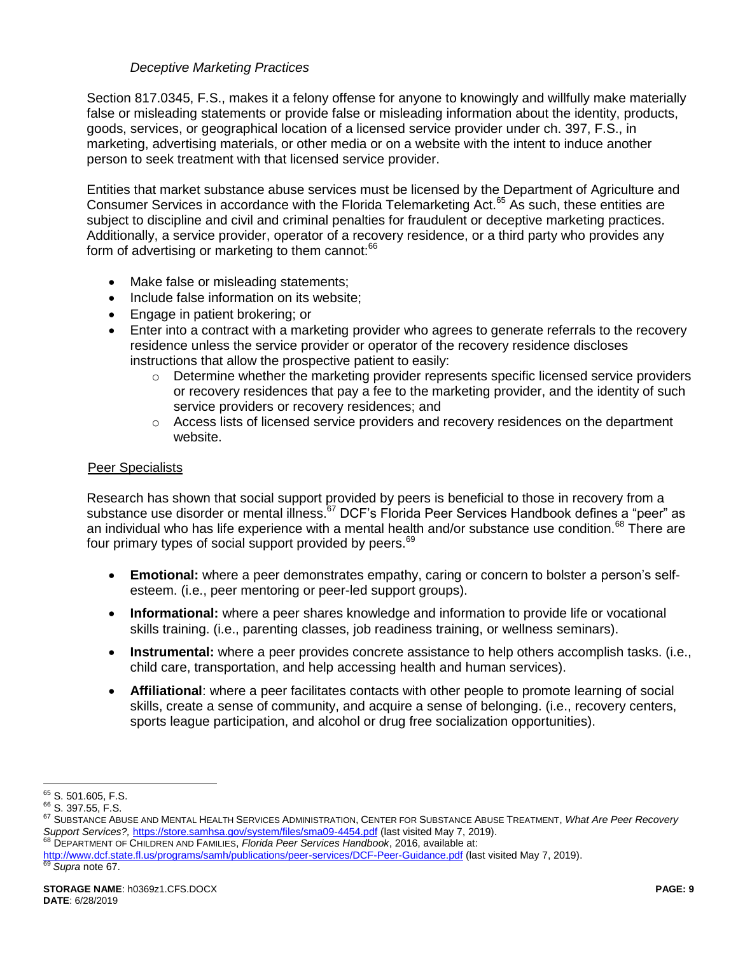# *Deceptive Marketing Practices*

Section 817.0345, F.S., makes it a felony offense for anyone to knowingly and willfully make materially false or misleading statements or provide false or misleading information about the identity, products, goods, services, or geographical location of a licensed service provider under ch. 397, F.S., in marketing, advertising materials, or other media or on a website with the intent to induce another person to seek treatment with that licensed service provider.

Entities that market substance abuse services must be licensed by the Department of Agriculture and Consumer Services in accordance with the Florida Telemarketing Act.<sup>65</sup> As such, these entities are subject to discipline and civil and criminal penalties for fraudulent or deceptive marketing practices. Additionally, a service provider, operator of a recovery residence, or a third party who provides any form of advertising or marketing to them cannot:<sup>66</sup>

- Make false or misleading statements;
- Include false information on its website;
- Engage in patient brokering; or
- Enter into a contract with a marketing provider who agrees to generate referrals to the recovery residence unless the service provider or operator of the recovery residence discloses instructions that allow the prospective patient to easily:
	- $\circ$  Determine whether the marketing provider represents specific licensed service providers or recovery residences that pay a fee to the marketing provider, and the identity of such service providers or recovery residences; and
	- $\circ$  Access lists of licensed service providers and recovery residences on the department website.

#### Peer Specialists

Research has shown that social support provided by peers is beneficial to those in recovery from a substance use disorder or mental illness.<sup>67</sup> DCF's Florida Peer Services Handbook defines a "peer" as an individual who has life experience with a mental health and/or substance use condition.<sup>68</sup> There are four primary types of social support provided by peers.<sup>69</sup>

- <span id="page-8-1"></span><span id="page-8-0"></span> **Emotional:** where a peer demonstrates empathy, caring or concern to bolster a person's selfesteem. (i.e., peer mentoring or peer-led support groups).
- **Informational:** where a peer shares knowledge and information to provide life or vocational skills training. (i.e., parenting classes, job readiness training, or wellness seminars).
- **Instrumental:** where a peer provides concrete assistance to help others accomplish tasks. (i.e., child care, transportation, and help accessing health and human services).
- **Affiliational**: where a peer facilitates contacts with other people to promote learning of social skills, create a sense of community, and acquire a sense of belonging. (i.e., recovery centers, sports league participation, and alcohol or drug free socialization opportunities).

<sup>68</sup> DEPARTMENT OF CHILDREN AND FAMILIES, *Florida Peer Services Handbook*, 2016, available at:

 $\overline{a}$ <sup>65</sup> S. 501.605, F.S.

<sup>66</sup> S. 397.55, F.S.

<sup>67</sup> SUBSTANCE ABUSE AND MENTAL HEALTH SERVICES ADMINISTRATION, CENTER FOR SUBSTANCE ABUSE TREATMENT, *What Are Peer Recovery Support Services?,* <https://store.samhsa.gov/system/files/sma09-4454.pdf> (last visited May 7, 2019).

http://www.dcf.state.fl.us/programs/samh/publications/peer-services/DCF-Peer-Guidance.pdf (last visited May 7, 2019).

Supra note [67.](#page-8-0)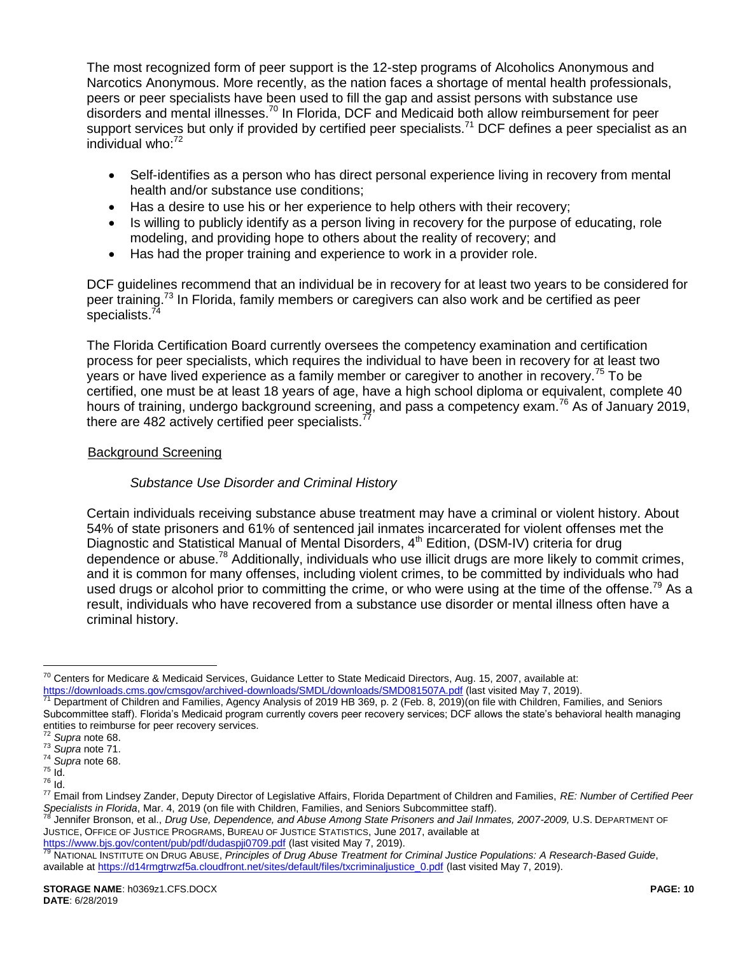The most recognized form of peer support is the 12-step programs of Alcoholics Anonymous and Narcotics Anonymous. More recently, as the nation faces a shortage of mental health professionals, peers or peer specialists have been used to fill the gap and assist persons with substance use disorders and mental illnesses.<sup>70</sup> In Florida, DCF and Medicaid both allow reimbursement for peer support services but only if provided by certified peer specialists.<sup>71</sup> DCF defines a peer specialist as an individual who: $72$ 

- <span id="page-9-0"></span>• Self-identifies as a person who has direct personal experience living in recovery from mental health and/or substance use conditions;
- Has a desire to use his or her experience to help others with their recovery;
- Is willing to publicly identify as a person living in recovery for the purpose of educating, role modeling, and providing hope to others about the reality of recovery; and
- Has had the proper training and experience to work in a provider role.

DCF guidelines recommend that an individual be in recovery for at least two years to be considered for peer training.<sup>73</sup> In Florida, family members or caregivers can also work and be certified as peer specialists.<sup>7</sup>

The Florida Certification Board currently oversees the competency examination and certification process for peer specialists, which requires the individual to have been in recovery for at least two years or have lived experience as a family member or caregiver to another in recovery.<sup>75</sup> To be certified, one must be at least 18 years of age, have a high school diploma or equivalent, complete 40 hours of training, undergo background screening, and pass a competency exam.<sup>76</sup> As of January 2019, there are 482 actively certified peer specialists.<sup>7</sup>

# Background Screening

# *Substance Use Disorder and Criminal History*

Certain individuals receiving substance abuse treatment may have a criminal or violent history. About 54% of state prisoners and 61% of sentenced jail inmates incarcerated for violent offenses met the Diagnostic and Statistical Manual of Mental Disorders, 4<sup>th</sup> Edition, (DSM-IV) criteria for drug dependence or abuse.<sup>78</sup> Additionally, individuals who use illicit drugs are more likely to commit crimes, and it is common for many offenses, including violent crimes, to be committed by individuals who had used drugs or alcohol prior to committing the crime, or who were using at the time of the offense.<sup>79</sup> As a result, individuals who have recovered from a substance use disorder or mental illness often have a criminal history.

 $\overline{a}$ 

Jennifer Bronson, et al., *Drug Use, Dependence, and Abuse Among State Prisoners and Jail Inmates, 2007-2009, U.S. DEPARTMENT OF* JUSTICE, OFFICE OF JUSTICE PROGRAMS, BUREAU OF JUSTICE STATISTICS, June 2017, available at <https://www.bjs.gov/content/pub/pdf/dudaspji0709.pdf> (last visited May 7, 2019).

 $^{70}$  Centers for Medicare & Medicaid Services, Guidance Letter to State Medicaid Directors, Aug. 15, 2007, available at:

<https://downloads.cms.gov/cmsgov/archived-downloads/SMDL/downloads/SMD081507A.pdf> (last visited May 7, 2019).

<sup>71</sup> Department of Children and Families, Agency Analysis of 2019 HB 369, p. 2 (Feb. 8, 2019)(on file with Children, Families, and Seniors Subcommittee staff). Florida's Medicaid program currently covers peer recovery services; DCF allows the state's behavioral health managing entities to reimburse for peer recovery services.

<sup>72</sup> *Supra* not[e 68.](#page-8-1)

<sup>73</sup> *Supra* not[e 71.](#page-9-0)

<sup>74</sup> *Supra* not[e 68.](#page-8-1) <sup>75</sup> Id.

<sup>76</sup> Id.

<sup>77</sup> Email from Lindsey Zander, Deputy Director of Legislative Affairs, Florida Department of Children and Families, *RE: Number of Certified Peer Specialists in Florida*, Mar. 4, 2019 (on file with Children, Families, and Seniors Subcommittee staff)*.*

<sup>79</sup> NATIONAL INSTITUTE ON DRUG ABUSE, *Principles of Drug Abuse Treatment for Criminal Justice Populations: A Research-Based Guide*, available at [https://d14rmgtrwzf5a.cloudfront.net/sites/default/files/txcriminaljustice\\_0.pdf](https://d14rmgtrwzf5a.cloudfront.net/sites/default/files/txcriminaljustice_0.pdf) (last visited May 7, 2019).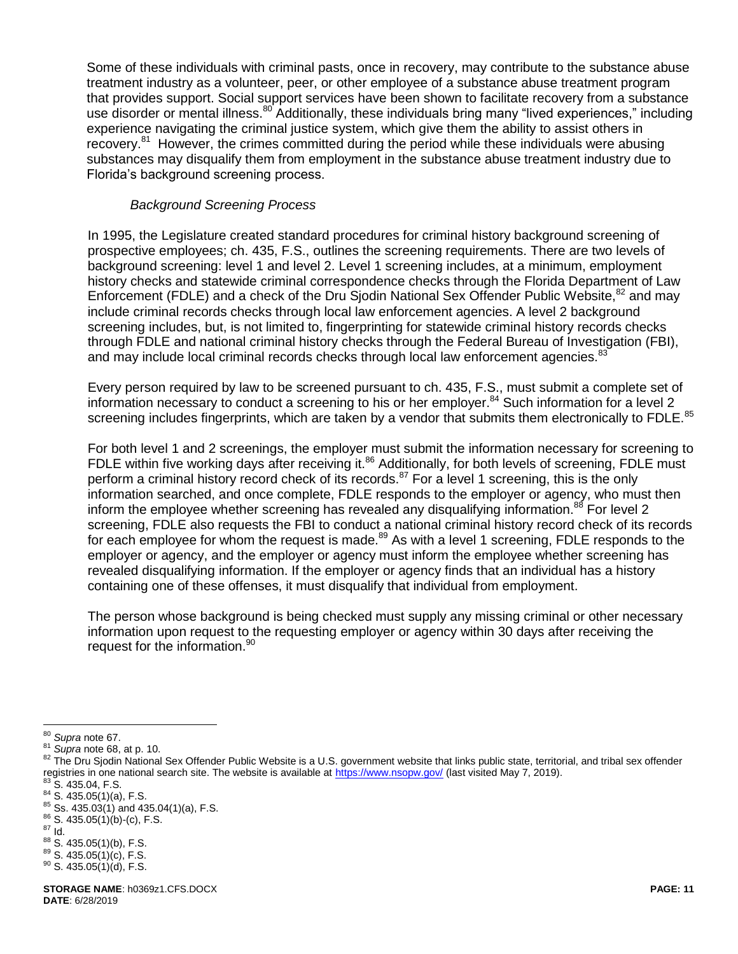Some of these individuals with criminal pasts, once in recovery, may contribute to the substance abuse treatment industry as a volunteer, peer, or other employee of a substance abuse treatment program that provides support. Social support services have been shown to facilitate recovery from a substance use disorder or mental illness.<sup>80</sup> Additionally, these individuals bring many "lived experiences," including experience navigating the criminal justice system, which give them the ability to assist others in recovery.<sup>81</sup> However, the crimes committed during the period while these individuals were abusing substances may disqualify them from employment in the substance abuse treatment industry due to Florida's background screening process.

# *Background Screening Process*

In 1995, the Legislature created standard procedures for criminal history background screening of prospective employees; ch. 435, F.S., outlines the screening requirements. There are two levels of background screening: level 1 and level 2. Level 1 screening includes, at a minimum, employment history checks and statewide criminal correspondence checks through the Florida Department of Law Enforcement (FDLE) and a check of the Dru Sjodin National Sex Offender Public Website,<sup>82</sup> and may include criminal records checks through local law enforcement agencies. A level 2 background screening includes, but, is not limited to, fingerprinting for statewide criminal history records checks through FDLE and national criminal history checks through the Federal Bureau of Investigation (FBI), and may include local criminal records checks through local law enforcement agencies.<sup>83</sup>

Every person required by law to be screened pursuant to ch. 435, F.S., must submit a complete set of information necessary to conduct a screening to his or her employer.<sup>84</sup> Such information for a level 2 screening includes fingerprints, which are taken by a vendor that submits them electronically to FDLE.<sup>85</sup>

For both level 1 and 2 screenings, the employer must submit the information necessary for screening to FDLE within five working days after receiving it.<sup>86</sup> Additionally, for both levels of screening, FDLE must perform a criminal history record check of its records.<sup>87</sup> For a level 1 screening, this is the only information searched, and once complete, FDLE responds to the employer or agency, who must then inform the employee whether screening has revealed any disqualifying information.<sup>88</sup> For level 2 screening, FDLE also requests the FBI to conduct a national criminal history record check of its records for each employee for whom the request is made.<sup>89</sup> As with a level 1 screening, FDLE responds to the employer or agency, and the employer or agency must inform the employee whether screening has revealed disqualifying information. If the employer or agency finds that an individual has a history containing one of these offenses, it must disqualify that individual from employment.

The person whose background is being checked must supply any missing criminal or other necessary information upon request to the requesting employer or agency within 30 days after receiving the request for the information.<sup>90</sup>

 $\overline{a}$ <sup>80</sup> *Supra* not[e 67.](#page-8-0)

<sup>81</sup> *Supra* not[e 68,](#page-8-1) at p. 10.

<sup>82</sup> The Dru Siodin National Sex Offender Public Website is a U.S. government website that links public state, territorial, and tribal sex offender registries in one national search site. The website is available at [https://www.nsopw.gov/](https://www.nsopw.gov/?AspxAutoDetectCookieSupport=1) (last visited May 7, 2019).

 $83$  S. 435.04, F.S.

 $84$  S. 435.05(1)(a), F.S.

<sup>85</sup> Ss. 435.03(1) and 435.04(1)(a), F.S.

<sup>86</sup> S. 435.05(1)(b)-(c), F.S.  $87$   $\mathrm{Id}$ .

 $88$  S. 435.05(1)(b), F.S. <sup>89</sup> S. 435.05(1)(c), F.S.

 $90$  S. 435.05(1)(d), F.S.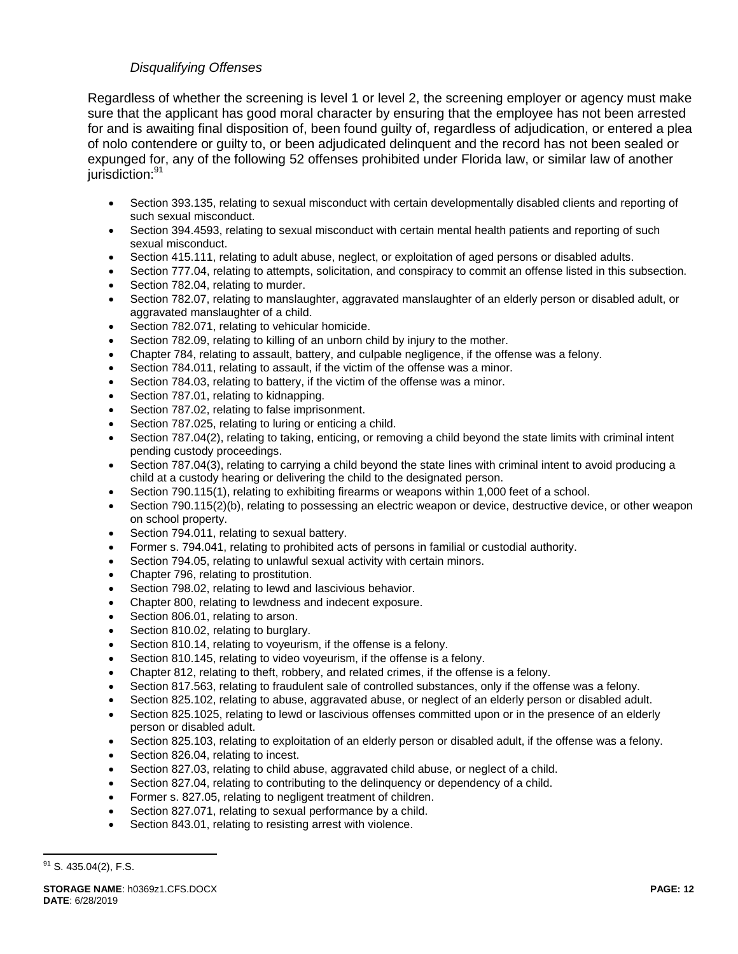# *Disqualifying Offenses*

Regardless of whether the screening is level 1 or level 2, the screening employer or agency must make sure that the applicant has good moral character by ensuring that the employee has not been arrested for and is awaiting final disposition of, been found guilty of, regardless of adjudication, or entered a plea of nolo contendere or guilty to, or been adjudicated delinquent and the record has not been sealed or expunged for, any of the following 52 offenses prohibited under Florida law, or similar law of another jurisdiction:<sup>91</sup>

- Section 393.135, relating to sexual misconduct with certain developmentally disabled clients and reporting of such sexual misconduct.
- Section 394.4593, relating to sexual misconduct with certain mental health patients and reporting of such sexual misconduct.
- Section 415.111, relating to adult abuse, neglect, or exploitation of aged persons or disabled adults.
- Section 777.04, relating to attempts, solicitation, and conspiracy to commit an offense listed in this subsection. Section 782.04, relating to murder.
- 
- Section 782.07, relating to manslaughter, aggravated manslaughter of an elderly person or disabled adult, or aggravated manslaughter of a child.
- Section 782.071, relating to vehicular homicide.
- Section 782.09, relating to killing of an unborn child by injury to the mother.
- Chapter 784, relating to assault, battery, and culpable negligence, if the offense was a felony.
- Section 784.011, relating to assault, if the victim of the offense was a minor.
- Section 784.03, relating to battery, if the victim of the offense was a minor.
- Section 787.01, relating to kidnapping.
- Section 787.02, relating to false imprisonment.
- Section 787.025, relating to luring or enticing a child.
- Section 787.04(2), relating to taking, enticing, or removing a child beyond the state limits with criminal intent pending custody proceedings.
- Section 787.04(3), relating to carrying a child beyond the state lines with criminal intent to avoid producing a child at a custody hearing or delivering the child to the designated person.
- Section 790.115(1), relating to exhibiting firearms or weapons within 1,000 feet of a school.
- Section 790.115(2)(b), relating to possessing an electric weapon or device, destructive device, or other weapon on school property.
- Section 794.011, relating to sexual battery.
- Former s. 794.041, relating to prohibited acts of persons in familial or custodial authority.
- Section 794.05, relating to unlawful sexual activity with certain minors.
- Chapter 796, relating to prostitution.
- Section 798.02, relating to lewd and lascivious behavior.
- Chapter 800, relating to lewdness and indecent exposure.
- Section 806.01, relating to arson.
- Section 810.02, relating to burglary.
- Section 810.14, relating to voyeurism, if the offense is a felony.
- Section 810.145, relating to video voyeurism, if the offense is a felony.
- Chapter 812, relating to theft, robbery, and related crimes, if the offense is a felony.
- Section 817.563, relating to fraudulent sale of controlled substances, only if the offense was a felony.
- Section 825.102, relating to abuse, aggravated abuse, or neglect of an elderly person or disabled adult.
- Section 825.1025, relating to lewd or lascivious offenses committed upon or in the presence of an elderly person or disabled adult.
- Section 825.103, relating to exploitation of an elderly person or disabled adult, if the offense was a felony.
- Section 826.04, relating to incest.
- Section 827.03, relating to child abuse, aggravated child abuse, or neglect of a child.
- Section 827.04, relating to contributing to the delinquency or dependency of a child.
- Former s. 827.05, relating to negligent treatment of children.
- Section 827.071, relating to sexual performance by a child.
- Section 843.01, relating to resisting arrest with violence.

 $91$  S. 435.04(2), F.S.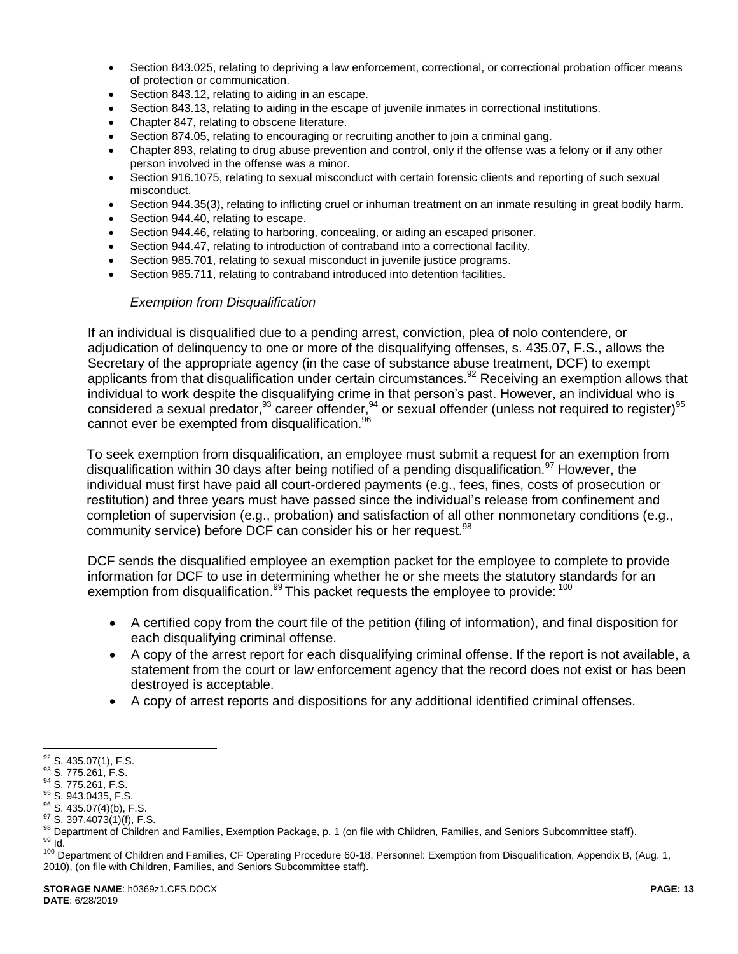- Section 843.025, relating to depriving a law enforcement, correctional, or correctional probation officer means of protection or communication.
- Section 843.12, relating to aiding in an escape.
- Section 843.13, relating to aiding in the escape of juvenile inmates in correctional institutions.
- Chapter 847, relating to obscene literature.
- Section 874.05, relating to encouraging or recruiting another to join a criminal gang.
- Chapter 893, relating to drug abuse prevention and control, only if the offense was a felony or if any other person involved in the offense was a minor.
- Section 916.1075, relating to sexual misconduct with certain forensic clients and reporting of such sexual misconduct.
- Section 944.35(3), relating to inflicting cruel or inhuman treatment on an inmate resulting in great bodily harm.
- Section 944.40, relating to escape.
- Section 944.46, relating to harboring, concealing, or aiding an escaped prisoner.
- Section 944.47, relating to introduction of contraband into a correctional facility.
- Section 985.701, relating to sexual misconduct in juvenile justice programs.
- Section 985.711, relating to contraband introduced into detention facilities.

#### *Exemption from Disqualification*

If an individual is disqualified due to a pending arrest, conviction, plea of nolo contendere, or adjudication of delinquency to one or more of the disqualifying offenses, s. 435.07, F.S., allows the Secretary of the appropriate agency (in the case of substance abuse treatment, DCF) to exempt applicants from that disqualification under certain circumstances.<sup>92</sup> Receiving an exemption allows that individual to work despite the disqualifying crime in that person's past. However, an individual who is considered a sexual predator, <sup>93</sup> career offender, <sup>94</sup> or sexual offender (unless not required to register) <sup>95</sup> cannot ever be exempted from disqualification.<sup>96</sup>

To seek exemption from disqualification, an employee must submit a request for an exemption from disqualification within 30 days after being notified of a pending disqualification.<sup>97</sup> However, the individual must first have paid all court-ordered payments (e.g., fees, fines, costs of prosecution or restitution) and three years must have passed since the individual's release from confinement and completion of supervision (e.g., probation) and satisfaction of all other nonmonetary conditions (e.g., community service) before DCF can consider his or her request.<sup>98</sup>

DCF sends the disqualified employee an exemption packet for the employee to complete to provide information for DCF to use in determining whether he or she meets the statutory standards for an exemption from disqualification.<sup>99</sup> This packet requests the employee to provide: <sup>100</sup>

- <span id="page-12-0"></span> A certified copy from the court file of the petition (filing of information), and final disposition for each disqualifying criminal offense.
- A copy of the arrest report for each disqualifying criminal offense. If the report is not available, a statement from the court or law enforcement agency that the record does not exist or has been destroyed is acceptable.
- A copy of arrest reports and dispositions for any additional identified criminal offenses.

 $\overline{a}$  $92$  S. 435.07(1), F.S.

<sup>&</sup>lt;sup>93</sup> S. 775.261, F.S.

<sup>&</sup>lt;sup>94</sup> S. 775.261, F.S.

<sup>95</sup> S. 943.0435, F.S.

<sup>96</sup> S. 435.07(4)(b), F.S.

<sup>97</sup> S. 397.4073(1)(f), F.S.

<sup>98</sup> Department of Children and Families, Exemption Package, p. 1 (on file with Children, Families, and Seniors Subcommittee staff). <sup>99</sup> Id.

<sup>&</sup>lt;sup>100</sup> Department of Children and Families, CF Operating Procedure 60-18, Personnel: Exemption from Disqualification, Appendix B, (Aug. 1, 2010), (on file with Children, Families, and Seniors Subcommittee staff).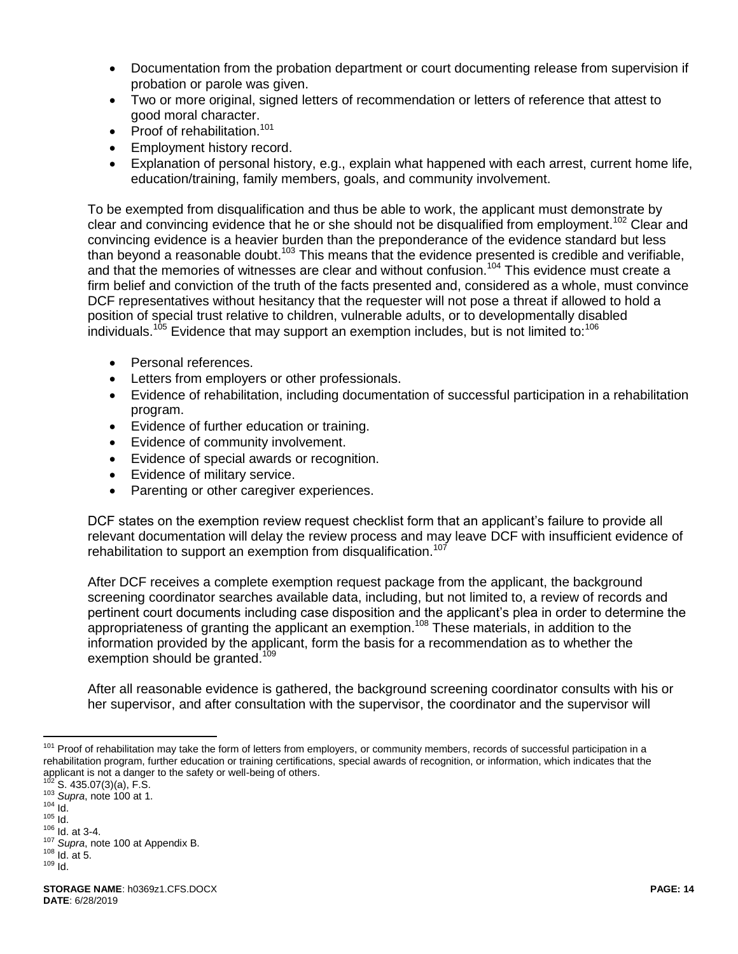- Documentation from the probation department or court documenting release from supervision if probation or parole was given.
- Two or more original, signed letters of recommendation or letters of reference that attest to good moral character.
- Proof of rehabilitation. $101$
- **•** Employment history record.
- Explanation of personal history, e.g., explain what happened with each arrest, current home life, education/training, family members, goals, and community involvement.

To be exempted from disqualification and thus be able to work, the applicant must demonstrate by clear and convincing evidence that he or she should not be disqualified from employment.<sup>102</sup> Clear and convincing evidence is a heavier burden than the preponderance of the evidence standard but less than beyond a reasonable doubt.<sup>103</sup> This means that the evidence presented is credible and verifiable, and that the memories of witnesses are clear and without confusion.<sup>104</sup> This evidence must create a firm belief and conviction of the truth of the facts presented and, considered as a whole, must convince DCF representatives without hesitancy that the requester will not pose a threat if allowed to hold a position of special trust relative to children, vulnerable adults, or to developmentally disabled individuals.<sup>105</sup> Evidence that may support an exemption includes, but is not limited to:<sup>106</sup>

- Personal references.
- Letters from employers or other professionals.
- Evidence of rehabilitation, including documentation of successful participation in a rehabilitation program.
- Evidence of further education or training.
- Evidence of community involvement.
- Evidence of special awards or recognition.
- Evidence of military service.
- Parenting or other caregiver experiences.

DCF states on the exemption review request checklist form that an applicant's failure to provide all relevant documentation will delay the review process and may leave DCF with insufficient evidence of rehabilitation to support an exemption from disqualification.<sup>107</sup>

After DCF receives a complete exemption request package from the applicant, the background screening coordinator searches available data, including, but not limited to, a review of records and pertinent court documents including case disposition and the applicant's plea in order to determine the appropriateness of granting the applicant an exemption.<sup>108</sup> These materials, in addition to the information provided by the applicant, form the basis for a recommendation as to whether the exemption should be granted.<sup>109</sup>

After all reasonable evidence is gathered, the background screening coordinator consults with his or her supervisor, and after consultation with the supervisor, the coordinator and the supervisor will

 $\overline{a}$ <sup>101</sup> Proof of rehabilitation may take the form of letters from employers, or community members, records of successful participation in a rehabilitation program, further education or training certifications, special awards of recognition, or information, which indicates that the applicant is not a danger to the safety or well-being of others.

 $S. 435.07(3)(a)$ , F.S.

<sup>103</sup> *Supra*, note [100](#page-12-0) at 1.  $104$   $\frac{1}{10}$ .

 $105$  Id.

<sup>106</sup> Id. at 3-4.

<sup>107</sup> *Supra*, note [100](#page-12-0) at Appendix B.

 $108$  Id. at 5.

<sup>109</sup> Id.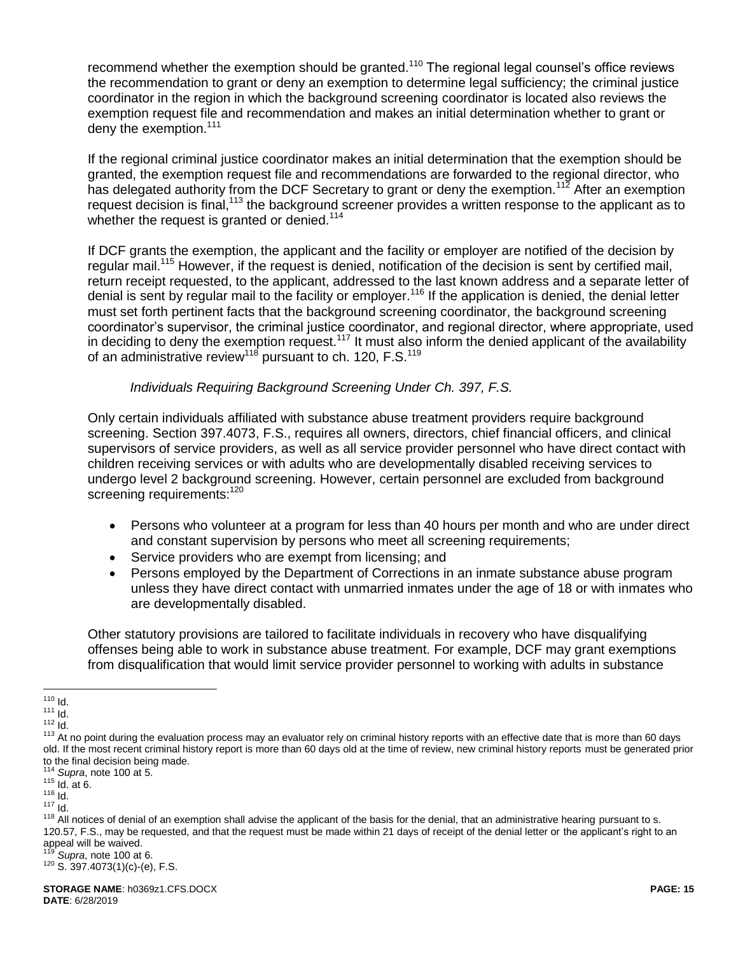recommend whether the exemption should be granted.<sup>110</sup> The regional legal counsel's office reviews the recommendation to grant or deny an exemption to determine legal sufficiency; the criminal justice coordinator in the region in which the background screening coordinator is located also reviews the exemption request file and recommendation and makes an initial determination whether to grant or deny the exemption.<sup>111</sup>

If the regional criminal justice coordinator makes an initial determination that the exemption should be granted, the exemption request file and recommendations are forwarded to the regional director, who has delegated authority from the DCF Secretary to grant or deny the exemption.<sup>112</sup> After an exemption request decision is final,<sup>113</sup> the background screener provides a written response to the applicant as to whether the request is granted or denied.<sup>114</sup>

If DCF grants the exemption, the applicant and the facility or employer are notified of the decision by regular mail.<sup>115</sup> However, if the request is denied, notification of the decision is sent by certified mail, return receipt requested, to the applicant, addressed to the last known address and a separate letter of denial is sent by regular mail to the facility or employer.<sup>116</sup> If the application is denied, the denial letter must set forth pertinent facts that the background screening coordinator, the background screening coordinator's supervisor, the criminal justice coordinator, and regional director, where appropriate, used in deciding to deny the exemption request.<sup>117</sup> It must also inform the denied applicant of the availability of an administrative review<sup>118</sup> pursuant to ch. 120, F.S.<sup>119</sup>

*Individuals Requiring Background Screening Under Ch. 397, F.S.*

Only certain individuals affiliated with substance abuse treatment providers require background screening. Section 397.4073, F.S., requires all owners, directors, chief financial officers, and clinical supervisors of service providers, as well as all service provider personnel who have direct contact with children receiving services or with adults who are developmentally disabled receiving services to undergo level 2 background screening. However, certain personnel are excluded from background screening requirements:<sup>120</sup>

- Persons who volunteer at a program for less than 40 hours per month and who are under direct and constant supervision by persons who meet all screening requirements;
- Service providers who are exempt from licensing; and
- Persons employed by the Department of Corrections in an inmate substance abuse program unless they have direct contact with unmarried inmates under the age of 18 or with inmates who are developmentally disabled.

Other statutory provisions are tailored to facilitate individuals in recovery who have disqualifying offenses being able to work in substance abuse treatment. For example, DCF may grant exemptions from disqualification that would limit service provider personnel to working with adults in substance

 $\overline{a}$ 

<sup>119</sup> *Supra*, note [100](#page-12-0) at 6.

<sup>&</sup>lt;sup>110</sup> Id.

 $111$  Id.

 $112$  Id.

<sup>&</sup>lt;sup>113</sup> At no point during the evaluation process may an evaluator rely on criminal history reports with an effective date that is more than 60 days old. If the most recent criminal history report is more than 60 days old at the time of review, new criminal history reports must be generated prior to the final decision being made.

<sup>114</sup> *Supra*, note [100](#page-12-0) at 5.

 $115$  Id. at 6.

<sup>116</sup> Id.  $117$  Id.

<sup>&</sup>lt;sup>118</sup> All notices of denial of an exemption shall advise the applicant of the basis for the denial, that an administrative hearing pursuant to s. 120.57, F.S., may be requested, and that the request must be made within 21 days of receipt of the denial letter or the applicant's right to an appeal will be waived.

<sup>120</sup> S. 397.4073(1)(c)-(e), F.S.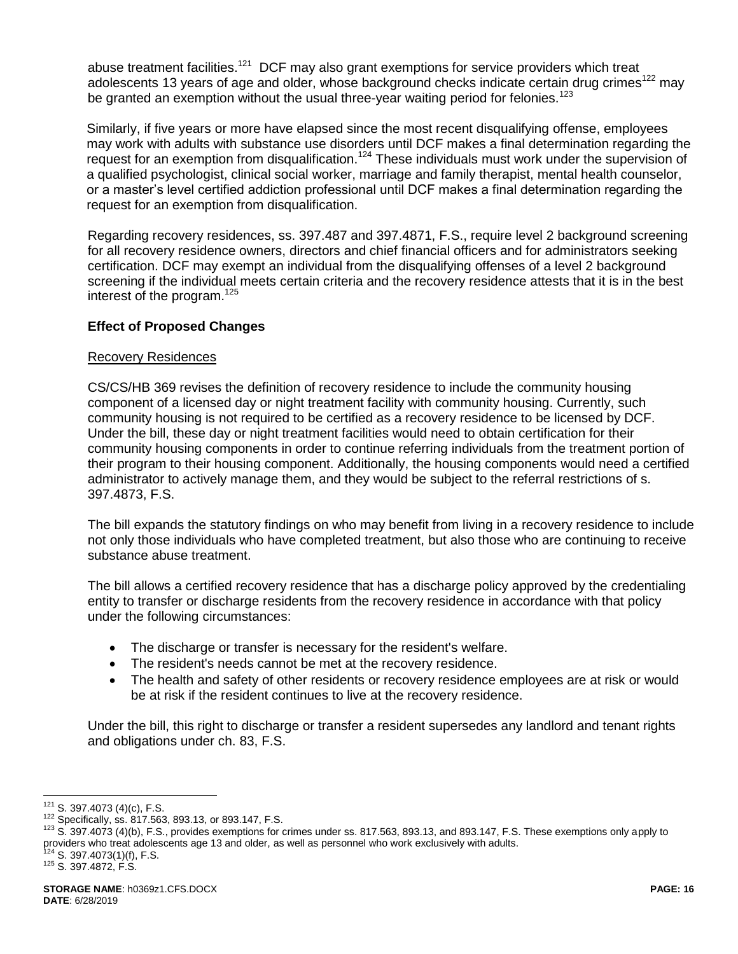abuse treatment facilities.<sup>121</sup> DCF may also grant exemptions for service providers which treat adolescents 13 years of age and older, whose background checks indicate certain drug crimes<sup>122</sup> mav be granted an exemption without the usual three-year waiting period for felonies.<sup>123</sup>

Similarly, if five years or more have elapsed since the most recent disqualifying offense, employees may work with adults with substance use disorders until DCF makes a final determination regarding the request for an exemption from disqualification.<sup>124</sup> These individuals must work under the supervision of a qualified psychologist, clinical social worker, marriage and family therapist, mental health counselor, or a master's level certified addiction professional until DCF makes a final determination regarding the request for an exemption from disqualification.

Regarding recovery residences, ss. 397.487 and 397.4871, F.S., require level 2 background screening for all recovery residence owners, directors and chief financial officers and for administrators seeking certification. DCF may exempt an individual from the disqualifying offenses of a level 2 background screening if the individual meets certain criteria and the recovery residence attests that it is in the best interest of the program.<sup>125</sup>

# **Effect of Proposed Changes**

### Recovery Residences

CS/CS/HB 369 revises the definition of recovery residence to include the community housing component of a licensed day or night treatment facility with community housing. Currently, such community housing is not required to be certified as a recovery residence to be licensed by DCF. Under the bill, these day or night treatment facilities would need to obtain certification for their community housing components in order to continue referring individuals from the treatment portion of their program to their housing component. Additionally, the housing components would need a certified administrator to actively manage them, and they would be subject to the referral restrictions of s. 397.4873, F.S.

The bill expands the statutory findings on who may benefit from living in a recovery residence to include not only those individuals who have completed treatment, but also those who are continuing to receive substance abuse treatment.

The bill allows a certified recovery residence that has a discharge policy approved by the credentialing entity to transfer or discharge residents from the recovery residence in accordance with that policy under the following circumstances:

- The discharge or transfer is necessary for the resident's welfare.
- The resident's needs cannot be met at the recovery residence.
- The health and safety of other residents or recovery residence employees are at risk or would be at risk if the resident continues to live at the recovery residence.

Under the bill, this right to discharge or transfer a resident supersedes any landlord and tenant rights and obligations under ch. 83, F.S.

 $121$  S. 397.4073 (4)(c), F.S.

<sup>122</sup> Specifically, ss. 817.563, 893.13, or 893.147, F.S.

<sup>123</sup> S. 397.4073 (4)(b), F.S., provides exemptions for crimes under ss. 817.563, 893.13, and 893.147, F.S. These exemptions only apply to providers who treat adolescents age 13 and older, as well as personnel who work exclusively with adults.

S. 397.4073(1)(f), F.S.

<sup>125</sup> S. 397.4872, F.S.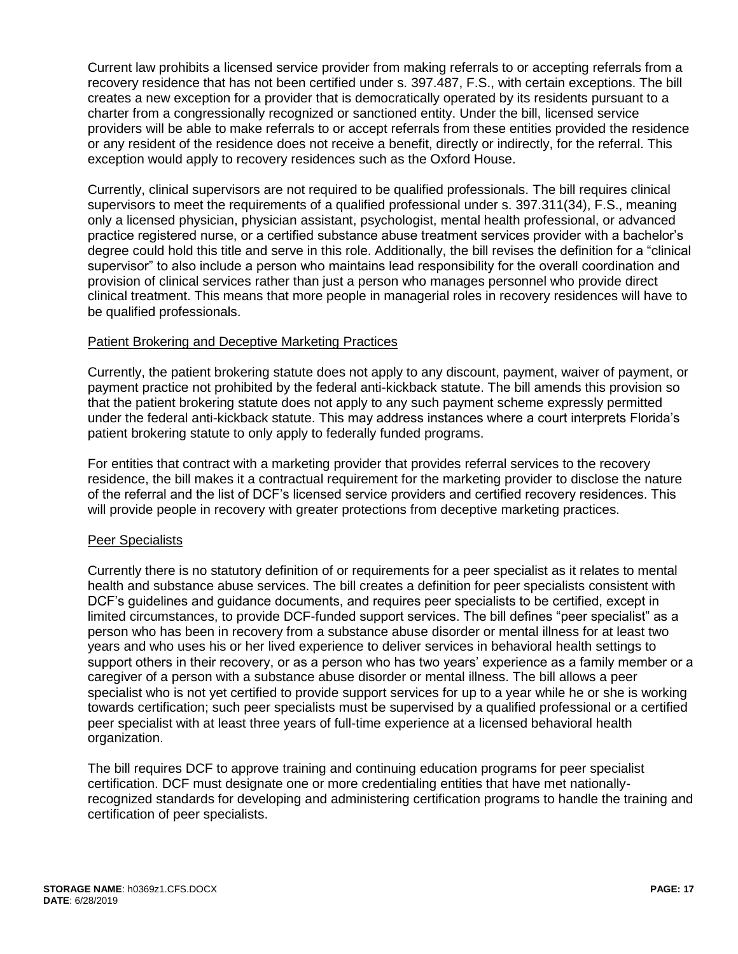Current law prohibits a licensed service provider from making referrals to or accepting referrals from a recovery residence that has not been certified under s. 397.487, F.S., with certain exceptions. The bill creates a new exception for a provider that is democratically operated by its residents pursuant to a charter from a congressionally recognized or sanctioned entity. Under the bill, licensed service providers will be able to make referrals to or accept referrals from these entities provided the residence or any resident of the residence does not receive a benefit, directly or indirectly, for the referral. This exception would apply to recovery residences such as the Oxford House.

Currently, clinical supervisors are not required to be qualified professionals. The bill requires clinical supervisors to meet the requirements of a qualified professional under s. 397.311(34), F.S., meaning only a licensed physician, physician assistant, psychologist, mental health professional, or advanced practice registered nurse, or a certified substance abuse treatment services provider with a bachelor's degree could hold this title and serve in this role. Additionally, the bill revises the definition for a "clinical supervisor" to also include a person who maintains lead responsibility for the overall coordination and provision of clinical services rather than just a person who manages personnel who provide direct clinical treatment. This means that more people in managerial roles in recovery residences will have to be qualified professionals.

### Patient Brokering and Deceptive Marketing Practices

Currently, the patient brokering statute does not apply to any discount, payment, waiver of payment, or payment practice not prohibited by the federal anti-kickback statute. The bill amends this provision so that the patient brokering statute does not apply to any such payment scheme expressly permitted under the federal anti-kickback statute. This may address instances where a court interprets Florida's patient brokering statute to only apply to federally funded programs.

For entities that contract with a marketing provider that provides referral services to the recovery residence, the bill makes it a contractual requirement for the marketing provider to disclose the nature of the referral and the list of DCF's licensed service providers and certified recovery residences. This will provide people in recovery with greater protections from deceptive marketing practices.

#### Peer Specialists

Currently there is no statutory definition of or requirements for a peer specialist as it relates to mental health and substance abuse services. The bill creates a definition for peer specialists consistent with DCF's guidelines and guidance documents, and requires peer specialists to be certified, except in limited circumstances, to provide DCF-funded support services. The bill defines "peer specialist" as a person who has been in recovery from a substance abuse disorder or mental illness for at least two years and who uses his or her lived experience to deliver services in behavioral health settings to support others in their recovery, or as a person who has two years' experience as a family member or a caregiver of a person with a substance abuse disorder or mental illness. The bill allows a peer specialist who is not yet certified to provide support services for up to a year while he or she is working towards certification; such peer specialists must be supervised by a qualified professional or a certified peer specialist with at least three years of full-time experience at a licensed behavioral health organization.

The bill requires DCF to approve training and continuing education programs for peer specialist certification. DCF must designate one or more credentialing entities that have met nationallyrecognized standards for developing and administering certification programs to handle the training and certification of peer specialists.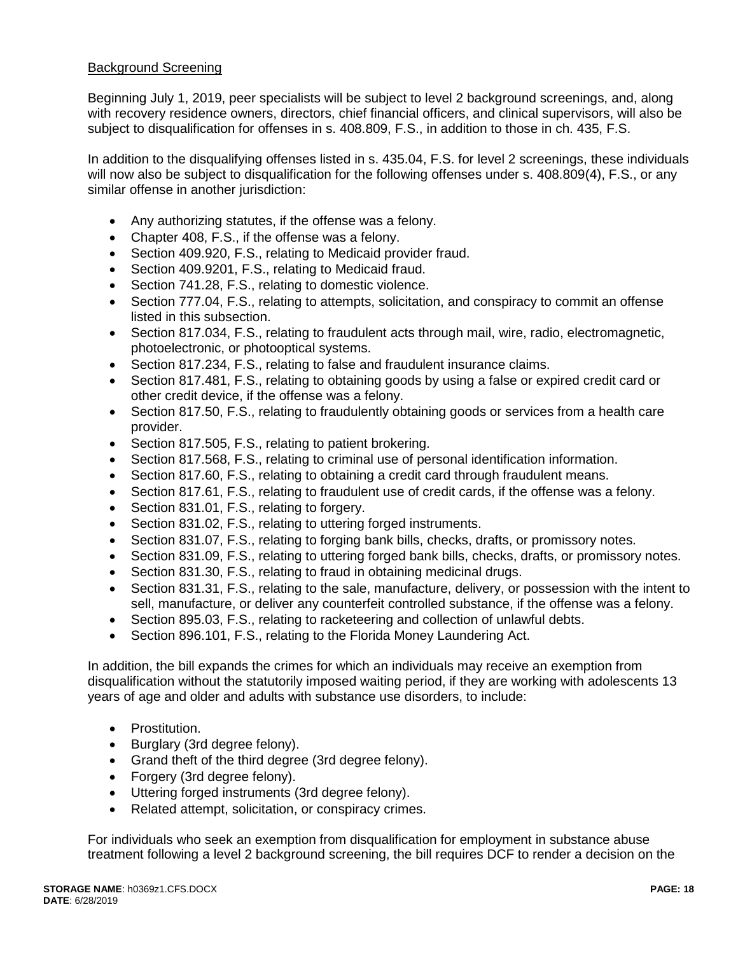### Background Screening

Beginning July 1, 2019, peer specialists will be subject to level 2 background screenings, and, along with recovery residence owners, directors, chief financial officers, and clinical supervisors, will also be subject to disqualification for offenses in s. 408.809, F.S., in addition to those in ch. 435, F.S.

In addition to the disqualifying offenses listed in s. 435.04, F.S. for level 2 screenings, these individuals will now also be subject to disqualification for the following offenses under s. 408.809(4), F.S., or any similar offense in another jurisdiction:

- Any authorizing statutes, if the offense was a felony.
- Chapter 408, F.S., if the offense was a felony.
- Section 409.920, F.S., relating to Medicaid provider fraud.
- Section 409.9201, F.S., relating to Medicaid fraud.
- Section 741.28, F.S., relating to domestic violence.
- Section 777.04, F.S., relating to attempts, solicitation, and conspiracy to commit an offense listed in this subsection.
- Section 817.034, F.S., relating to fraudulent acts through mail, wire, radio, electromagnetic, photoelectronic, or photooptical systems.
- Section 817.234, F.S., relating to false and fraudulent insurance claims.
- Section 817.481, F.S., relating to obtaining goods by using a false or expired credit card or other credit device, if the offense was a felony.
- Section 817.50, F.S., relating to fraudulently obtaining goods or services from a health care provider.
- Section 817.505, F.S., relating to patient brokering.
- Section 817.568, F.S., relating to criminal use of personal identification information.
- Section 817.60, F.S., relating to obtaining a credit card through fraudulent means.
- Section 817.61, F.S., relating to fraudulent use of credit cards, if the offense was a felony.
- Section 831.01, F.S., relating to forgery.
- Section 831.02, F.S., relating to uttering forged instruments.
- Section 831.07, F.S., relating to forging bank bills, checks, drafts, or promissory notes.
- Section 831.09, F.S., relating to uttering forged bank bills, checks, drafts, or promissory notes.
- Section 831.30, F.S., relating to fraud in obtaining medicinal drugs.
- Section 831.31, F.S., relating to the sale, manufacture, delivery, or possession with the intent to sell, manufacture, or deliver any counterfeit controlled substance, if the offense was a felony.
- Section 895.03, F.S., relating to racketeering and collection of unlawful debts.
- Section 896.101, F.S., relating to the Florida Money Laundering Act.

In addition, the bill expands the crimes for which an individuals may receive an exemption from disqualification without the statutorily imposed waiting period, if they are working with adolescents 13 years of age and older and adults with substance use disorders, to include:

- Prostitution.
- Burglary (3rd degree felony).
- Grand theft of the third degree (3rd degree felony).
- Forgery (3rd degree felony).
- Uttering forged instruments (3rd degree felony).
- Related attempt, solicitation, or conspiracy crimes.

For individuals who seek an exemption from disqualification for employment in substance abuse treatment following a level 2 background screening, the bill requires DCF to render a decision on the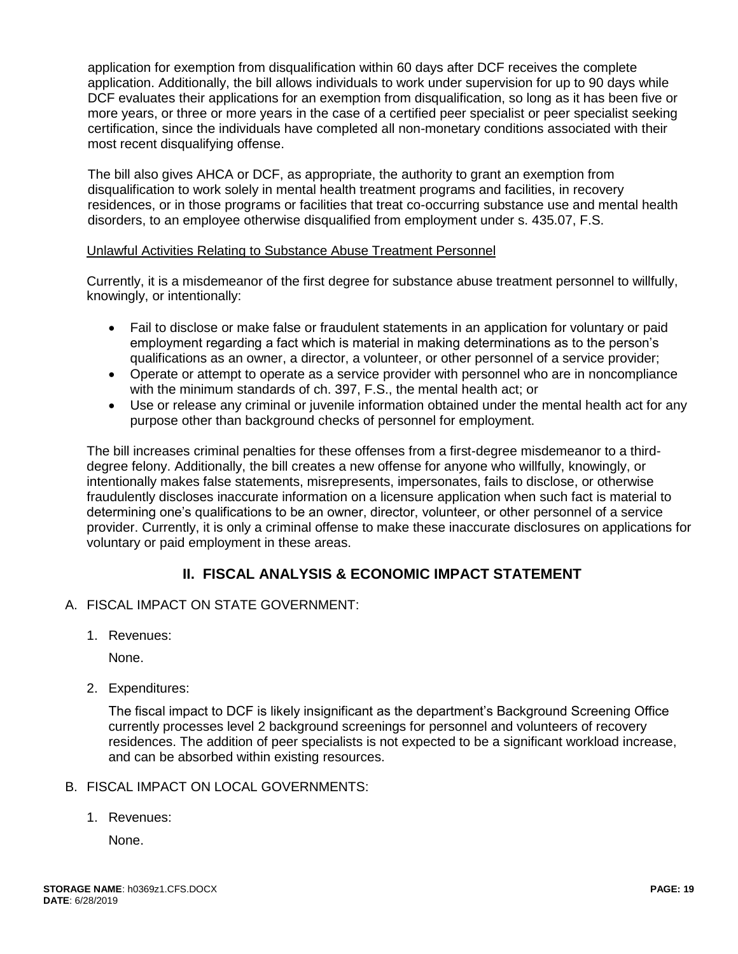application for exemption from disqualification within 60 days after DCF receives the complete application. Additionally, the bill allows individuals to work under supervision for up to 90 days while DCF evaluates their applications for an exemption from disqualification, so long as it has been five or more years, or three or more years in the case of a certified peer specialist or peer specialist seeking certification, since the individuals have completed all non-monetary conditions associated with their most recent disqualifying offense.

The bill also gives AHCA or DCF, as appropriate, the authority to grant an exemption from disqualification to work solely in mental health treatment programs and facilities, in recovery residences, or in those programs or facilities that treat co-occurring substance use and mental health disorders, to an employee otherwise disqualified from employment under s. 435.07, F.S.

### Unlawful Activities Relating to Substance Abuse Treatment Personnel

Currently, it is a misdemeanor of the first degree for substance abuse treatment personnel to willfully, knowingly, or intentionally:

- Fail to disclose or make false or fraudulent statements in an application for voluntary or paid employment regarding a fact which is material in making determinations as to the person's qualifications as an owner, a director, a volunteer, or other personnel of a service provider;
- Operate or attempt to operate as a service provider with personnel who are in noncompliance with the minimum standards of ch. 397, F.S., the mental health act; or
- Use or release any criminal or juvenile information obtained under the mental health act for any purpose other than background checks of personnel for employment.

The bill increases criminal penalties for these offenses from a first-degree misdemeanor to a thirddegree felony. Additionally, the bill creates a new offense for anyone who willfully, knowingly, or intentionally makes false statements, misrepresents, impersonates, fails to disclose, or otherwise fraudulently discloses inaccurate information on a licensure application when such fact is material to determining one's qualifications to be an owner, director, volunteer, or other personnel of a service provider. Currently, it is only a criminal offense to make these inaccurate disclosures on applications for voluntary or paid employment in these areas.

# **II. FISCAL ANALYSIS & ECONOMIC IMPACT STATEMENT**

- A. FISCAL IMPACT ON STATE GOVERNMENT:
	- 1. Revenues:

None.

2. Expenditures:

The fiscal impact to DCF is likely insignificant as the department's Background Screening Office currently processes level 2 background screenings for personnel and volunteers of recovery residences. The addition of peer specialists is not expected to be a significant workload increase, and can be absorbed within existing resources.

#### B. FISCAL IMPACT ON LOCAL GOVERNMENTS:

1. Revenues:

None.